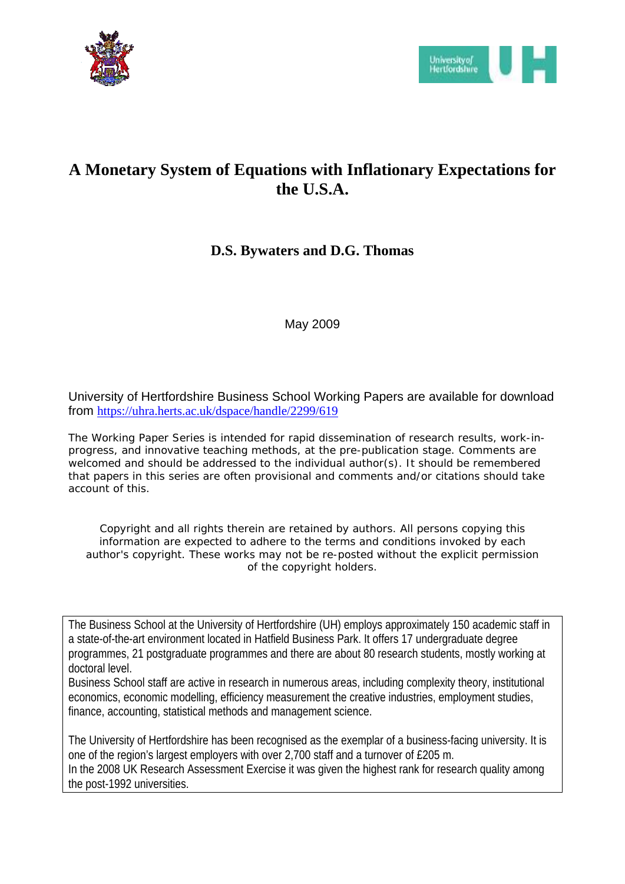



# **A Monetary System of Equations with Inflationary Expectations for the U.S.A.**

# **D.S. Bywaters and D.G. Thomas**

May 2009

University of Hertfordshire Business School Working Papers are available for download from https://uhra.herts.ac.uk/dspace/handle/2299/619

The Working Paper Series is intended for rapid dissemination of research results, work-inprogress, and innovative teaching methods, at the pre-publication stage. Comments are welcomed and should be addressed to the individual author(s). It should be remembered that papers in this series are often provisional and comments and/or citations should take account of this.

*Copyright and all rights therein are retained by authors. All persons copying this information are expected to adhere to the terms and conditions invoked by each author's copyright. These works may not be re-posted without the explicit permission of the copyright holders.*

The Business School at the University of Hertfordshire (UH) employs approximately 150 academic staff in a state-of-the-art environment located in Hatfield Business Park. It offers 17 undergraduate degree programmes, 21 postgraduate programmes and there are about 80 research students, mostly working at doctoral level.

Business School staff are active in research in numerous areas, including complexity theory, institutional economics, economic modelling, efficiency measurement the creative industries, employment studies, finance, accounting, statistical methods and management science.

The University of Hertfordshire has been recognised as the exemplar of a business-facing university. It is one of the region's largest employers with over 2,700 staff and a turnover of £205 m. In the 2008 UK Research Assessment Exercise it was given the highest rank for research quality among the post-1992 universities.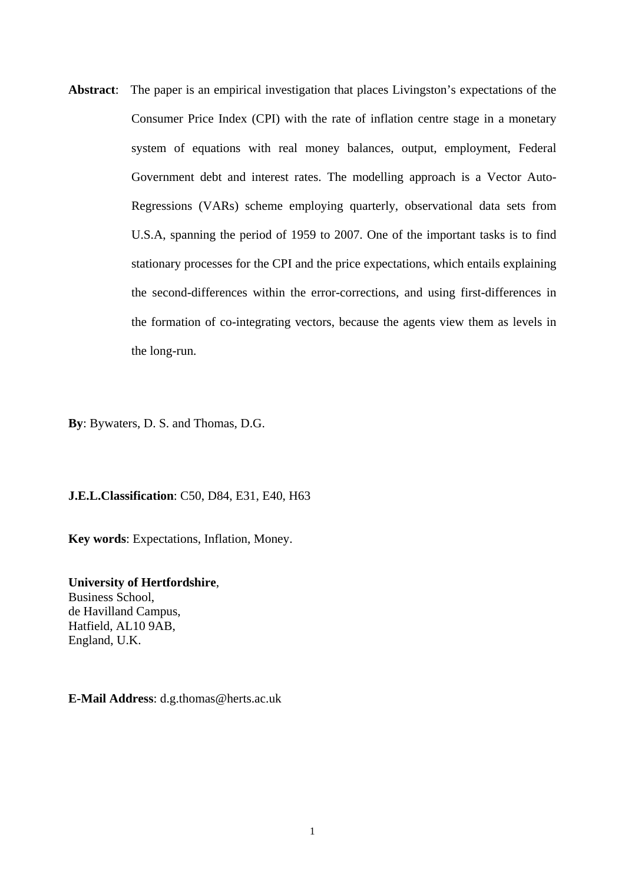**Abstract**: The paper is an empirical investigation that places Livingston's expectations of the Consumer Price Index (CPI) with the rate of inflation centre stage in a monetary system of equations with real money balances, output, employment, Federal Government debt and interest rates. The modelling approach is a Vector Auto-Regressions (VARs) scheme employing quarterly, observational data sets from U.S.A, spanning the period of 1959 to 2007. One of the important tasks is to find stationary processes for the CPI and the price expectations, which entails explaining the second-differences within the error-corrections, and using first-differences in the formation of co-integrating vectors, because the agents view them as levels in the long-run.

**By**: Bywaters, D. S. and Thomas, D.G.

**J.E.L.Classification**: C50, D84, E31, E40, H63

**Key words**: Expectations, Inflation, Money.

**University of Hertfordshire**, Business School, de Havilland Campus, Hatfield, AL10 9AB, England, U.K.

**E-Mail Address**: d.g.thomas@herts.ac.uk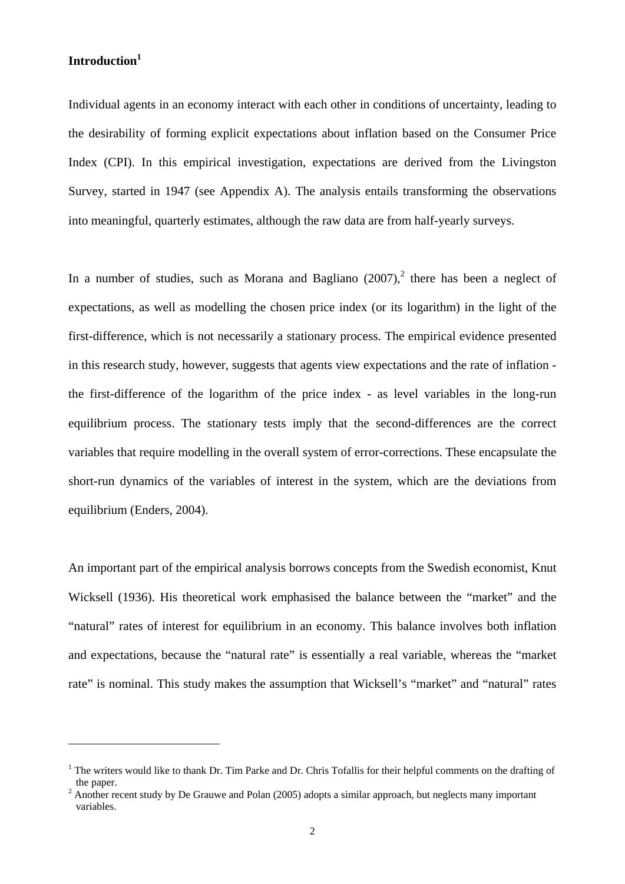## **Introduction1**

1

Individual agents in an economy interact with each other in conditions of uncertainty, leading to the desirability of forming explicit expectations about inflation based on the Consumer Price Index (CPI). In this empirical investigation, expectations are derived from the Livingston Survey, started in 1947 (see Appendix A). The analysis entails transforming the observations into meaningful, quarterly estimates, although the raw data are from half-yearly surveys.

In a number of studies, such as Morana and Bagliano  $(2007)$ , there has been a neglect of expectations, as well as modelling the chosen price index (or its logarithm) in the light of the first-difference, which is not necessarily a stationary process. The empirical evidence presented in this research study, however, suggests that agents view expectations and the rate of inflation the first-difference of the logarithm of the price index - as level variables in the long-run equilibrium process. The stationary tests imply that the second-differences are the correct variables that require modelling in the overall system of error-corrections. These encapsulate the short-run dynamics of the variables of interest in the system, which are the deviations from equilibrium (Enders, 2004).

An important part of the empirical analysis borrows concepts from the Swedish economist, Knut Wicksell (1936). His theoretical work emphasised the balance between the "market" and the "natural" rates of interest for equilibrium in an economy. This balance involves both inflation and expectations, because the "natural rate" is essentially a real variable, whereas the "market rate" is nominal. This study makes the assumption that Wicksell's "market" and "natural" rates

<sup>&</sup>lt;sup>1</sup> The writers would like to thank Dr. Tim Parke and Dr. Chris Tofallis for their helpful comments on the drafting of the paper.

<sup>&</sup>lt;sup>2</sup> Another recent study by De Grauwe and Polan (2005) adopts a similar approach, but neglects many important variables.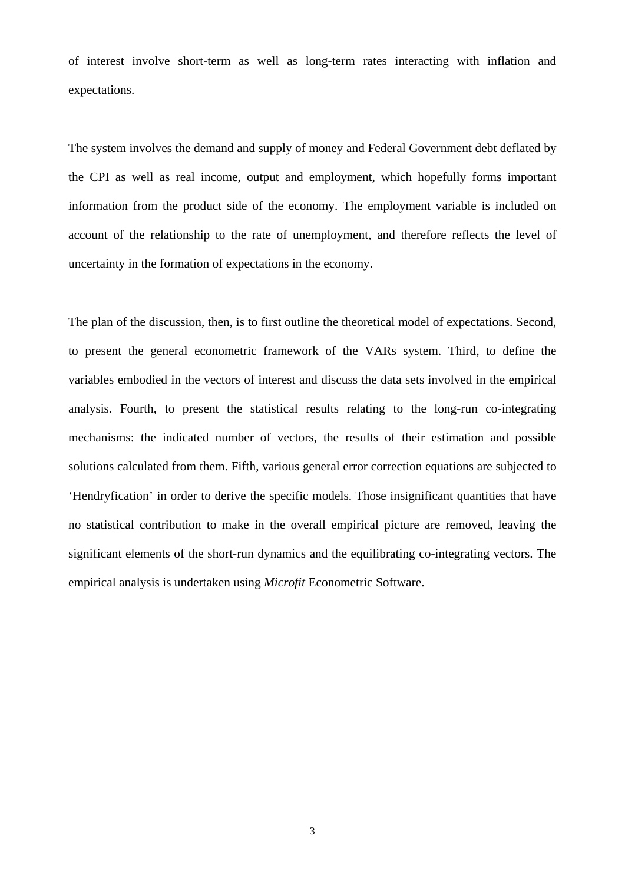of interest involve short-term as well as long-term rates interacting with inflation and expectations.

The system involves the demand and supply of money and Federal Government debt deflated by the CPI as well as real income, output and employment, which hopefully forms important information from the product side of the economy. The employment variable is included on account of the relationship to the rate of unemployment, and therefore reflects the level of uncertainty in the formation of expectations in the economy.

The plan of the discussion, then, is to first outline the theoretical model of expectations. Second, to present the general econometric framework of the VARs system. Third, to define the variables embodied in the vectors of interest and discuss the data sets involved in the empirical analysis. Fourth, to present the statistical results relating to the long-run co-integrating mechanisms: the indicated number of vectors, the results of their estimation and possible solutions calculated from them. Fifth, various general error correction equations are subjected to 'Hendryfication' in order to derive the specific models. Those insignificant quantities that have no statistical contribution to make in the overall empirical picture are removed, leaving the significant elements of the short-run dynamics and the equilibrating co-integrating vectors. The empirical analysis is undertaken using *Microfit* Econometric Software.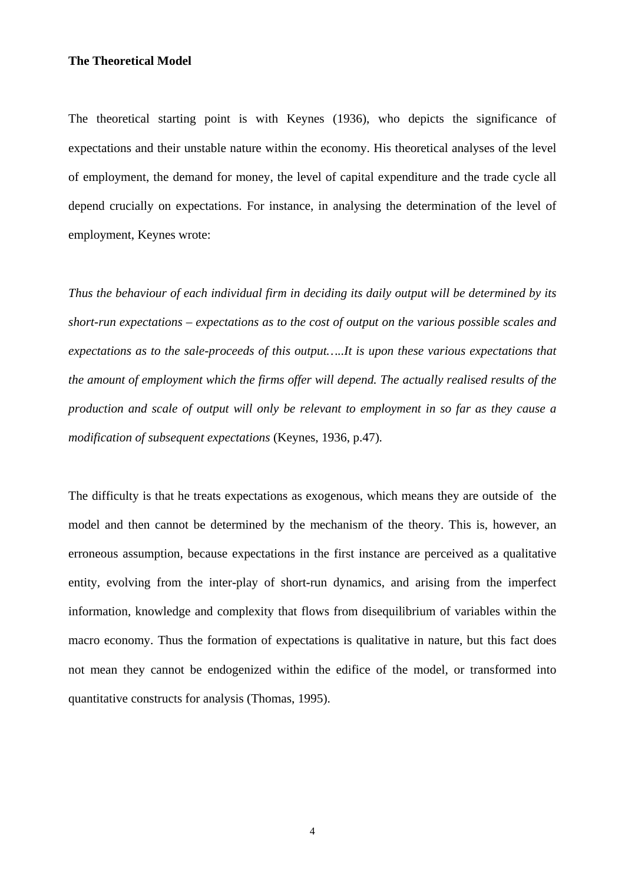# **The Theoretical Model**

The theoretical starting point is with Keynes (1936), who depicts the significance of expectations and their unstable nature within the economy. His theoretical analyses of the level of employment, the demand for money, the level of capital expenditure and the trade cycle all depend crucially on expectations. For instance, in analysing the determination of the level of employment, Keynes wrote:

*Thus the behaviour of each individual firm in deciding its daily output will be determined by its short-run expectations – expectations as to the cost of output on the various possible scales and expectations as to the sale-proceeds of this output…..It is upon these various expectations that the amount of employment which the firms offer will depend. The actually realised results of the production and scale of output will only be relevant to employment in so far as they cause a modification of subsequent expectations* (Keynes, 1936, p.47)*.* 

The difficulty is that he treats expectations as exogenous, which means they are outside of the model and then cannot be determined by the mechanism of the theory. This is, however, an erroneous assumption, because expectations in the first instance are perceived as a qualitative entity, evolving from the inter-play of short-run dynamics, and arising from the imperfect information, knowledge and complexity that flows from disequilibrium of variables within the macro economy. Thus the formation of expectations is qualitative in nature, but this fact does not mean they cannot be endogenized within the edifice of the model, or transformed into quantitative constructs for analysis (Thomas, 1995).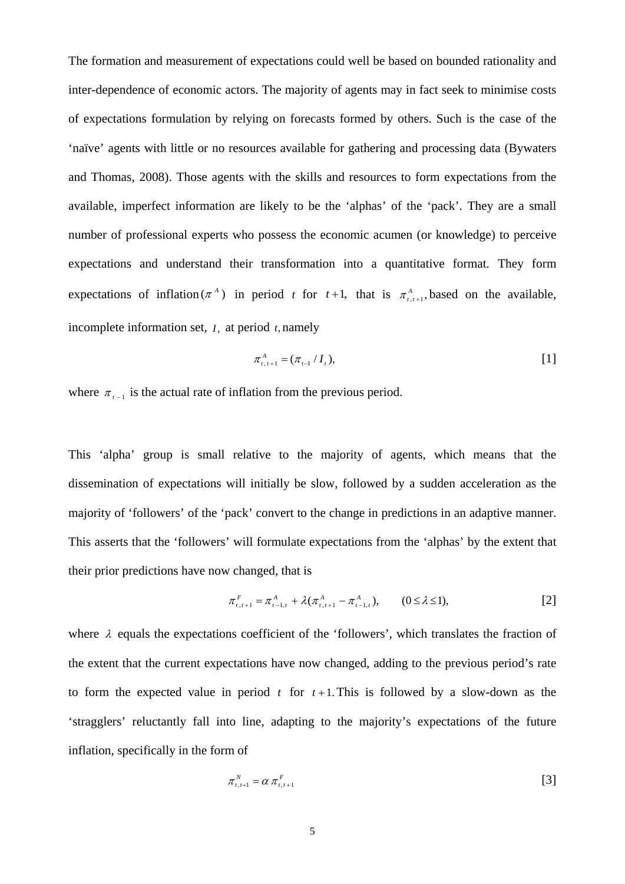The formation and measurement of expectations could well be based on bounded rationality and inter-dependence of economic actors. The majority of agents may in fact seek to minimise costs of expectations formulation by relying on forecasts formed by others. Such is the case of the 'naïve' agents with little or no resources available for gathering and processing data (Bywaters and Thomas, 2008). Those agents with the skills and resources to form expectations from the available, imperfect information are likely to be the 'alphas' of the 'pack'. They are a small number of professional experts who possess the economic acumen (or knowledge) to perceive expectations and understand their transformation into a quantitative format. They form expectations of inflation ( $\pi^A$ ) in period *t* for *t*+1, that is  $\pi^A_{t,t+1}$ , based on the available, incomplete information set, *I*, at period *t*, namely

$$
\pi_{t,t+1}^A = (\pi_{t-1} / I_t), \tag{1}
$$

where  $\pi_{t-1}$  is the actual rate of inflation from the previous period.

This 'alpha' group is small relative to the majority of agents, which means that the dissemination of expectations will initially be slow, followed by a sudden acceleration as the majority of 'followers' of the 'pack' convert to the change in predictions in an adaptive manner. This asserts that the 'followers' will formulate expectations from the 'alphas' by the extent that their prior predictions have now changed, that is

$$
\pi_{t,t+1}^F = \pi_{t-1,t}^A + \lambda(\pi_{t,t+1}^A - \pi_{t-1,t}^A), \qquad (0 \le \lambda \le 1),
$$
 [2]

where  $\lambda$  equals the expectations coefficient of the 'followers', which translates the fraction of the extent that the current expectations have now changed, adding to the previous period's rate to form the expected value in period  $t$  for  $t+1$ . This is followed by a slow-down as the 'stragglers' reluctantly fall into line, adapting to the majority's expectations of the future inflation, specifically in the form of

$$
\pi_{t,t+1}^N = \alpha \pi_{t,t+1}^F \tag{3}
$$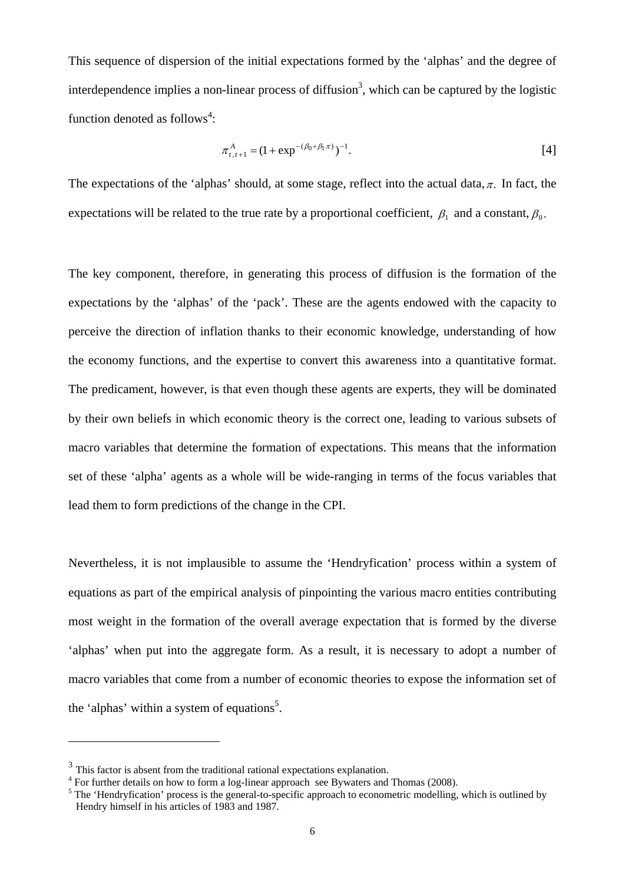This sequence of dispersion of the initial expectations formed by the 'alphas' and the degree of interdependence implies a non-linear process of diffusion<sup>3</sup>, which can be captured by the logistic function denoted as follows<sup>4</sup>:

$$
\pi_{t,t+1}^A = (1 + \exp^{-(\beta_0 + \beta_1 \pi)})^{-1}.
$$
 [4]

The expectations of the 'alphas' should, at some stage, reflect into the actual data,  $\pi$ . In fact, the expectations will be related to the true rate by a proportional coefficient,  $\beta_1$  and a constant,  $\beta_0$ .

The key component, therefore, in generating this process of diffusion is the formation of the expectations by the 'alphas' of the 'pack'. These are the agents endowed with the capacity to perceive the direction of inflation thanks to their economic knowledge, understanding of how the economy functions, and the expertise to convert this awareness into a quantitative format. The predicament, however, is that even though these agents are experts, they will be dominated by their own beliefs in which economic theory is the correct one, leading to various subsets of macro variables that determine the formation of expectations. This means that the information set of these 'alpha' agents as a whole will be wide-ranging in terms of the focus variables that lead them to form predictions of the change in the CPI.

Nevertheless, it is not implausible to assume the 'Hendryfication' process within a system of equations as part of the empirical analysis of pinpointing the various macro entities contributing most weight in the formation of the overall average expectation that is formed by the diverse 'alphas' when put into the aggregate form. As a result, it is necessary to adopt a number of macro variables that come from a number of economic theories to expose the information set of the 'alphas' within a system of equations<sup>5</sup>.

1

<sup>&</sup>lt;sup>3</sup> This factor is absent from the traditional rational expectations explanation.

<sup>&</sup>lt;sup>4</sup> For further details on how to form a log-linear approach see Bywaters and Thomas (2008).

<sup>&</sup>lt;sup>5</sup> The 'Hendryfication' process is the general-to-specific approach to econometric modelling, which is outlined by Hendry himself in his articles of 1983 and 1987.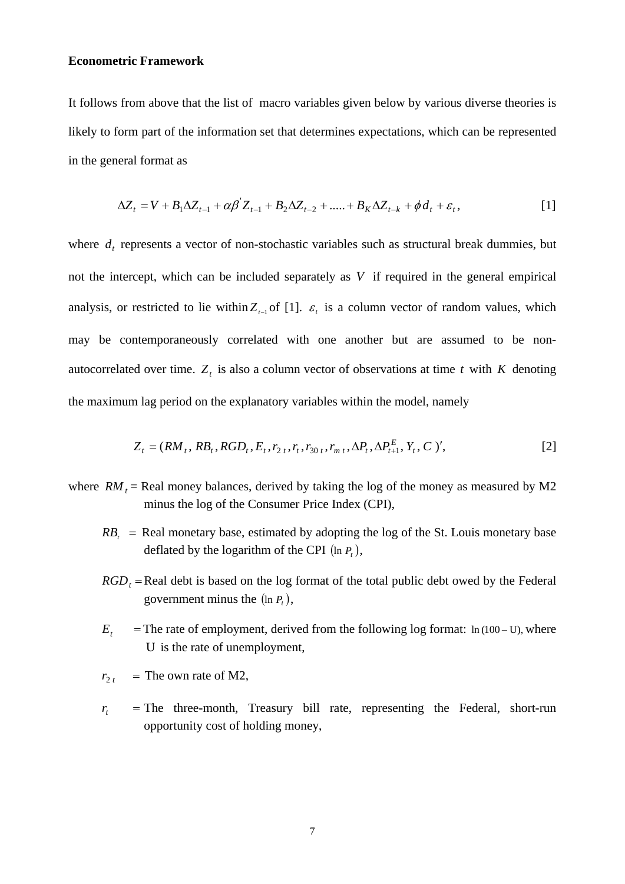#### **Econometric Framework**

It follows from above that the list of macro variables given below by various diverse theories is likely to form part of the information set that determines expectations, which can be represented in the general format as

$$
\Delta Z_t = V + B_1 \Delta Z_{t-1} + \alpha \beta Z_{t-1} + B_2 \Delta Z_{t-2} + \dots + B_K \Delta Z_{t-k} + \phi d_t + \varepsilon_t,
$$
\n[1]

where  $d_t$  represents a vector of non-stochastic variables such as structural break dummies, but not the intercept, which can be included separately as *V* if required in the general empirical analysis, or restricted to lie within  $Z_{t-1}$  of [1].  $\varepsilon$ , is a column vector of random values, which may be contemporaneously correlated with one another but are assumed to be nonautocorrelated over time.  $Z_t$  is also a column vector of observations at time *t* with *K* denoting the maximum lag period on the explanatory variables within the model, namely

$$
Z_t = (RM_t, RB_t, RGB_t, E_t, r_{2t}, r_t, r_{30t}, r_{m t}, \Delta P_t, \Delta P_{t+1}^E, Y_t, C)',
$$
\n[2]

- where  $RM_t$  = Real money balances, derived by taking the log of the money as measured by M2 minus the log of the Consumer Price Index (CPI),
	- $RB<sub>i</sub>$  = Real monetary base, estimated by adopting the log of the St. Louis monetary base deflated by the logarithm of the CPI  $(\ln P_t)$ ,
	- $RGD$ <sub>r</sub> = Real debt is based on the log format of the total public debt owed by the Federal government minus the  $(\ln P_t)$ ,
	- $E_t$  = The rate of employment, derived from the following log format: ln (100 U), where U is the rate of unemployment,
	- $r_{2 t}$  = The own rate of M2,
	- $r<sub>t</sub>$  = The three-month, Treasury bill rate, representing the Federal, short-run opportunity cost of holding money,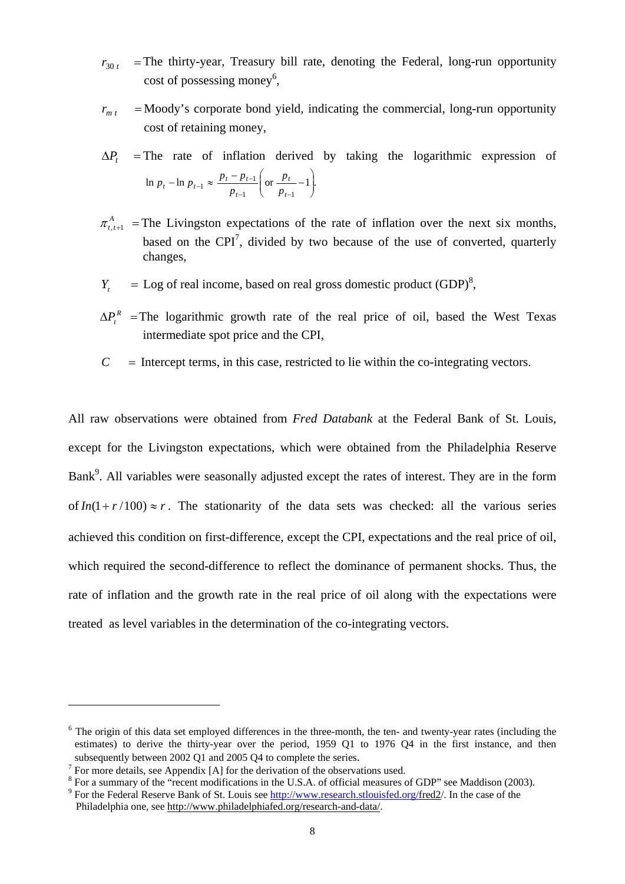- $r_{30 t}$  = The thirty-year, Treasury bill rate, denoting the Federal, long-run opportunity cost of possessing money<sup>6</sup>,
- $r_{m,t}$  = Moody's corporate bond yield, indicating the commercial, long-run opportunity cost of retaining money,
- $\Delta P_t$  = The rate of inflation derived by taking the logarithmic expression of  $\ln p_t - \ln p_{t-1} \approx \frac{P_t - P_{t-1}}{\ln P_{t-1}}$  or  $\frac{P_t - P_{t-1}}{\ln P_{t-1}}$ .  $1 \quad \bigcup \quad P_{t-1}$  $\frac{p_t - p_{t-1}}{n}$  or  $\frac{p_t}{n} - 1$ ⎠ ⎞  $\parallel$ ⎝ <sup>⎛</sup> <sup>−</sup> <sup>−</sup> <sup>−</sup> <sup>≈</sup>  $_{-1} \approx \frac{p_t - p_{t-1}}{p_{t-1}}$  or  $\frac{p_t}{p_{t-1}}$ *t t*  $p_{t-1} \approx \frac{p_t - p_{t-1}}{p_{t-1}} \left( \text{or } \frac{p_t}{p_t} \right)$ *p*  $p_t - \ln p_{t-1} \approx \frac{p_t - p}{p_t}$
- $\pi_{t+1}^{A}$  = The Livingston expectations of the rate of inflation over the next six months, based on the CPI<sup>7</sup>, divided by two because of the use of converted, quarterly changes,
- $Y_t$  = Log of real income, based on real gross domestic product (GDP)<sup>8</sup>,
- $\Delta P_{\perp}^R$  = The logarithmic growth rate of the real price of oil, based the West Texas intermediate spot price and the CPI,
- $C =$  Intercept terms, in this case, restricted to lie within the co-integrating vectors.

All raw observations were obtained from *Fred Databank* at the Federal Bank of St. Louis*,*  except for the Livingston expectations*,* which were obtained from the Philadelphia Reserve Bank<sup>9</sup>. All variables were seasonally adjusted except the rates of interest. They are in the form of  $In(1 + r/100) \approx r$ . The stationarity of the data sets was checked: all the various series achieved this condition on first-difference, except the CPI, expectations and the real price of oil, which required the second-difference to reflect the dominance of permanent shocks. Thus, the rate of inflation and the growth rate in the real price of oil along with the expectations were treated as level variables in the determination of the co-integrating vectors.

1

 $6$  The origin of this data set employed differences in the three-month, the ten- and twenty-year rates (including the estimates) to derive the thirty-year over the period, 1959 Q1 to 1976 Q4 in the first instance, and then subsequently between 2002 Q1 and 2005 Q4 to complete the series.

 $\sqrt{7}$  For more details, see Appendix [A] for the derivation of the observations used.

<sup>&</sup>lt;sup>8</sup> For a summary of the "recent modifications in the U.S.A. of official measures of GDP" see Maddison (2003).

<sup>&</sup>lt;sup>9</sup> For the Federal Reserve Bank of St. Louis see http://www.research.stlouisfed.org/fred2/. In the case of the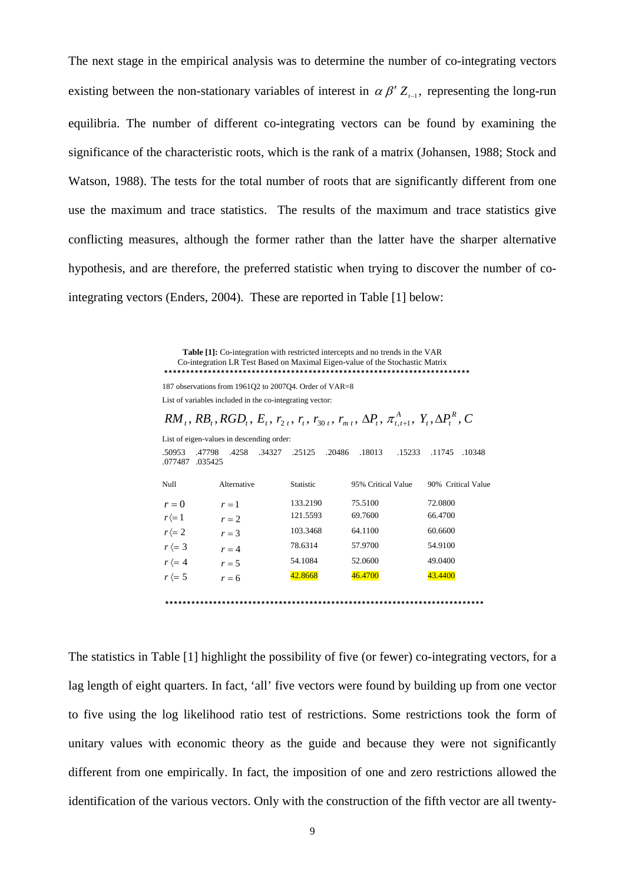The next stage in the empirical analysis was to determine the number of co-integrating vectors existing between the non-stationary variables of interest in  $\alpha \beta' Z_{t-1}$ , representing the long-run equilibria. The number of different co-integrating vectors can be found by examining the significance of the characteristic roots, which is the rank of a matrix (Johansen, 1988; Stock and Watson, 1988). The tests for the total number of roots that are significantly different from one use the maximum and trace statistics. The results of the maximum and trace statistics give conflicting measures, although the former rather than the latter have the sharper alternative hypothesis, and are therefore, the preferred statistic when trying to discover the number of cointegrating vectors (Enders, 2004). These are reported in Table [1] below:

> **Table [1]:** Co-integration with restricted intercepts and no trends in the VAR Co-integration LR Test Based on Maximal Eigen-value of the Stochastic Matrix \*\*\*\*\*\*\*\*\*\*\*\*\*\*\*\*\*\*\*\*\*\*\*\*\*\*\*\*\*\*\*\*\*\*\*\*\*\*\*\*\*\*\*\*\*\*\*\*\*\*\*\*\*\*\*\*\*\*\*\*\*\*\*\*\*\*\*\*\*\*

187 observations from 1961Q2 to 2007Q4. Order of VAR=8 List of variables included in the co-integrating vector:

List of eigen-values in descending order:

 $RM_t$ ,  $RB_t$ ,  $RGB_t$ ,  $E_t$ ,  $r_{2t}$ ,  $r_t$ ,  $r_{30t}$ ,  $r_{mt}$ ,  $\Delta P_t$ ,  $\pi_{t,t+1}^A$ ,  $Y_t$ ,  $\Delta P_t^R$ ,  $C$  $\mathcal{A}_t$ ,  $RB_t$ ,  $RGD_t$ ,  $E_t$ ,  $r_{2t}$ ,  $r_t$ ,  $r_{30t}$ ,  $r_{m t}$ ,  $\Delta P_t$ ,  $\pi_{t,t+1}^A$ ,  $Y_t$ ,  $\Delta P_t^R$ ,

.50953 .47798 .4258 .34327 .25125 .20486 .18013 .15233 .11745 .10348

| .077487          | .035425     |           |                    |                    |
|------------------|-------------|-----------|--------------------|--------------------|
| Null             | Alternative | Statistic | 95% Critical Value | 90% Critical Value |
| $r=0$            | $r=1$       | 133.2190  | 75.5100            | 72.0800            |
| $r \langle 1$    | $r = 2$     | 121.5593  | 69.7600            | 66.4700            |
| $r (= 2)$        | $r = 3$     | 103.3468  | 64.1100            | 60.6600            |
| $r \leftarrow 3$ | $r = 4$     | 78.6314   | 57.9700            | 54.9100            |
| $r \leftarrow 4$ | $r = 5$     | 54.1084   | 52.0600            | 49.0400            |
| $r \leftarrow 5$ | $r = 6$     | 42.8668   | 46.4700            | 43.4400            |
|                  |             |           |                    |                    |

\*\*\*\*\*\*\*\*\*\*\*\*\*\*\*\*\*\*\*\*\*\*\*\*\*\*\*\*\*\*\*\*\*\*\*\*\*\*\*\*\*\*\*\*\*\*\*\*\*\*\*\*\*\*\*\*\*\*\*\*\*\*\*\*\*\*\*\*\*\*\*\*\*

The statistics in Table [1] highlight the possibility of five (or fewer) co-integrating vectors, for a lag length of eight quarters. In fact, 'all' five vectors were found by building up from one vector to five using the log likelihood ratio test of restrictions. Some restrictions took the form of unitary values with economic theory as the guide and because they were not significantly different from one empirically. In fact, the imposition of one and zero restrictions allowed the identification of the various vectors. Only with the construction of the fifth vector are all twenty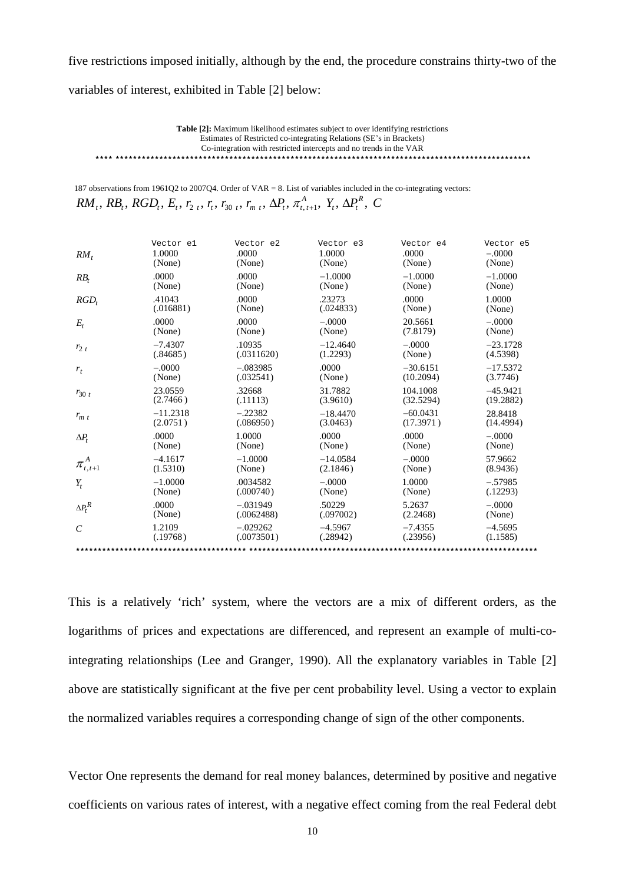five restrictions imposed initially, although by the end, the procedure constrains thirty-two of the

variables of interest, exhibited in Table [2] below:

**Table [2]:** Maximum likelihood estimates subject to over identifying restrictions Estimates of Restricted co-integrating Relations (SE's in Brackets) Co-integration with restricted intercepts and no trends in the VAR \*\*\*\* \*\*\*\*\*\*\*\*\*\*\*\*\*\*\*\*\*\*\*\*\*\*\*\*\*\*\*\*\*\*\*\*\*\*\*\*\*\*\*\*\*\*\*\*\*\*\*\*\*\*\*\*\*\*\*\*\*\*\*\*\*\*\*\*\*\*\*\*\*\*\*\*\*\*\*\*\*\*\*\*\*\*\*\*\*\*\*\*\*\*\*\*\*\*\*

187 observations from 1961Q2 to 2007Q4. Order of VAR = 8. List of variables included in the co-integrating vectors:  $RM_t$ ,  $RB_t$ ,  $RGB_t$ ,  $E_t$ ,  $r_{2t}$ ,  $r_t$ ,  $r_{30t}$ ,  $r_{mt}$ ,  $\Delta P_t$ ,  $\pi^A_{t,t+1}$ ,  $Y_t$ ,  $\Delta P_t^R$ ,  $C$  $\mathcal{A}_t$ ,  $RB_t$ ,  $RGD_t$ ,  $E_t$ ,  $r_{2t}$ ,  $r_t$ ,  $r_{30t}$ ,  $r_{mt}$ ,  $\Delta P_t$ ,  $\pi_{t,t+1}^A$ ,  $Y_t$ ,  $\Delta P_t^R$ ,

| $RM_t$         | Vector el  | Vector e2  | Vector e3  | Vector e4  | Vector e5  |
|----------------|------------|------------|------------|------------|------------|
|                | 1.0000     | .0000      | 1.0000     | .0000      | $-.0000$   |
|                | (None)     | (None)     | (None)     | (None)     | (None)     |
| $RB_t$         | .0000      | .0000      | $-1.0000$  | $-1.0000$  | $-1.0000$  |
|                | (None)     | (None)     | (None)     | (None)     | (None)     |
| $RGD_t$        | .41043     | .0000      | .23273     | .0000      | 1.0000     |
|                | (.016881)  | (None)     | (.024833)  | (None)     | (None)     |
| $E_t$          | .0000      | .0000      | $-.0000$   | 20.5661    | $-.0000$   |
|                | (None)     | (None)     | (None)     | (7.8179)   | (None)     |
| $r_{2t}$       | $-7.4307$  | .10935     | $-12.4640$ | $-.0000$   | $-23.1728$ |
|                | (.84685)   | (.0311620) | (1.2293)   | (None)     | (4.5398)   |
| $r_t$          | $-.0000$   | $-.083985$ | .0000      | $-30.6151$ | $-17.5372$ |
|                | (None)     | (.032541)  | (None)     | (10.2094)  | (3.7746)   |
| $r_{30t}$      | 23.0559    | .32668     | 31.7882    | 104.1008   | $-45.9421$ |
|                | (2.7466)   | (.11113)   | (3.9610)   | (32.5294)  | (19.2882)  |
| $r_{m, t}$     | $-11.2318$ | $-.22382$  | $-18.4470$ | $-60.0431$ | 28.8418    |
|                | (2.0751)   | (.086950)  | (3.0463)   | (17.3971)  | (14.4994)  |
| $\Delta P_t$   | .0000      | 1.0000     | .0000      | .0000      | $-.0000$   |
|                | (None)     | (None)     | (None)     | (None)     | (None)     |
| $\cdot$ A      | $-4.1617$  | $-1.0000$  | $-14.0584$ | $-.0000$   | 57.9662    |
| $\pi_{t,t+1}$  | (1.5310)   | (None)     | (2.1846)   | (None)     | (8.9436)   |
| $Y_t$          | $-1.0000$  | .0034582   | $-.0000$   | 1.0000     | $-.57985$  |
|                | (None)     | (.000740)  | (None)     | (None)     | (.12293)   |
| $\Delta P_t^R$ | .0000      | $-.031949$ | .50229     | 5.2637     | $-.0000$   |
|                | (None)     | (.0062488) | (.097002)  | (2.2468)   | (None)     |
| $\mathcal{C}$  | 1.2109     | $-.029262$ | $-4.5967$  | $-7.4355$  | $-4.5695$  |
|                | (.19768)   | (.0073501) | (.28942)   | (.23956)   | (1.1585)   |
|                |            |            |            |            |            |

This is a relatively 'rich' system, where the vectors are a mix of different orders, as the logarithms of prices and expectations are differenced, and represent an example of multi-cointegrating relationships (Lee and Granger, 1990). All the explanatory variables in Table [2] above are statistically significant at the five per cent probability level. Using a vector to explain the normalized variables requires a corresponding change of sign of the other components.

Vector One represents the demand for real money balances, determined by positive and negative coefficients on various rates of interest, with a negative effect coming from the real Federal debt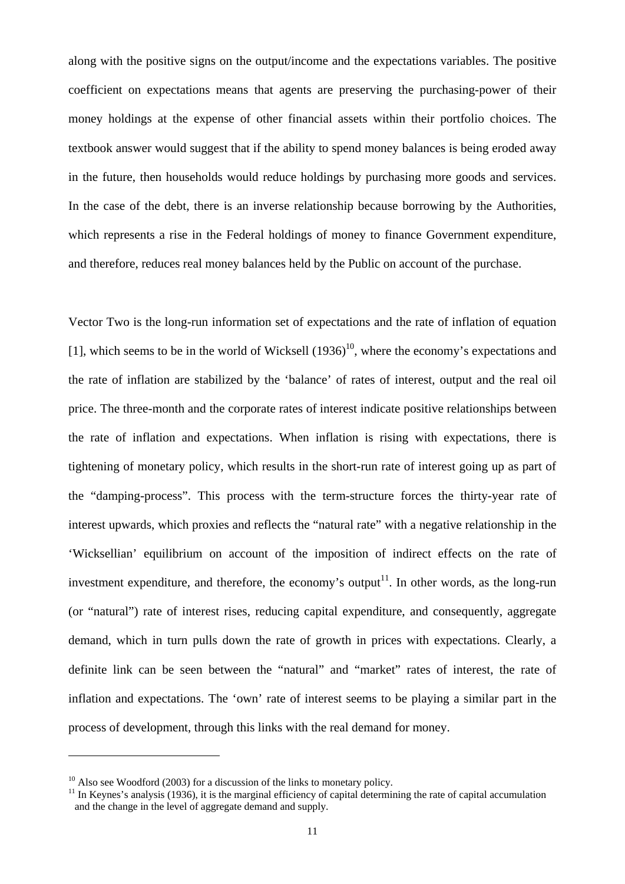along with the positive signs on the output/income and the expectations variables. The positive coefficient on expectations means that agents are preserving the purchasing-power of their money holdings at the expense of other financial assets within their portfolio choices. The textbook answer would suggest that if the ability to spend money balances is being eroded away in the future, then households would reduce holdings by purchasing more goods and services. In the case of the debt, there is an inverse relationship because borrowing by the Authorities, which represents a rise in the Federal holdings of money to finance Government expenditure, and therefore, reduces real money balances held by the Public on account of the purchase.

Vector Two is the long-run information set of expectations and the rate of inflation of equation [1], which seems to be in the world of Wicksell  $(1936)^{10}$ , where the economy's expectations and the rate of inflation are stabilized by the 'balance' of rates of interest, output and the real oil price. The three-month and the corporate rates of interest indicate positive relationships between the rate of inflation and expectations. When inflation is rising with expectations, there is tightening of monetary policy, which results in the short-run rate of interest going up as part of the "damping-process". This process with the term-structure forces the thirty-year rate of interest upwards, which proxies and reflects the "natural rate" with a negative relationship in the 'Wicksellian' equilibrium on account of the imposition of indirect effects on the rate of investment expenditure, and therefore, the economy's output<sup>11</sup>. In other words, as the long-run (or "natural") rate of interest rises, reducing capital expenditure, and consequently, aggregate demand, which in turn pulls down the rate of growth in prices with expectations. Clearly, a definite link can be seen between the "natural" and "market" rates of interest, the rate of inflation and expectations. The 'own' rate of interest seems to be playing a similar part in the process of development, through this links with the real demand for money.

1

 $10$  Also see Woodford (2003) for a discussion of the links to monetary policy.

 $11$  In Keynes's analysis (1936), it is the marginal efficiency of capital determining the rate of capital accumulation and the change in the level of aggregate demand and supply.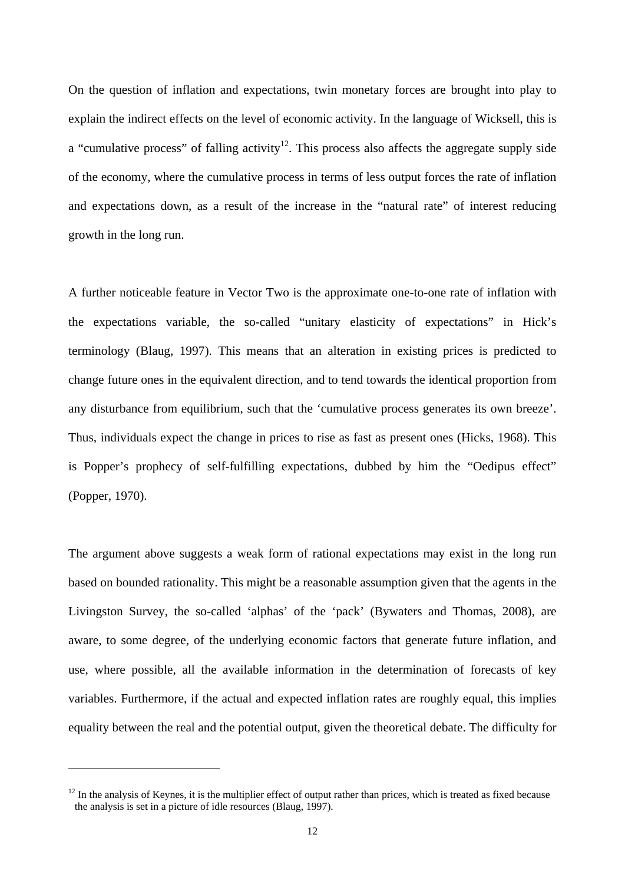On the question of inflation and expectations, twin monetary forces are brought into play to explain the indirect effects on the level of economic activity. In the language of Wicksell, this is a "cumulative process" of falling activity<sup>12</sup>. This process also affects the aggregate supply side of the economy, where the cumulative process in terms of less output forces the rate of inflation and expectations down, as a result of the increase in the "natural rate" of interest reducing growth in the long run.

A further noticeable feature in Vector Two is the approximate one-to-one rate of inflation with the expectations variable, the so-called "unitary elasticity of expectations" in Hick's terminology (Blaug, 1997). This means that an alteration in existing prices is predicted to change future ones in the equivalent direction, and to tend towards the identical proportion from any disturbance from equilibrium, such that the 'cumulative process generates its own breeze'. Thus, individuals expect the change in prices to rise as fast as present ones (Hicks, 1968). This is Popper's prophecy of self-fulfilling expectations, dubbed by him the "Oedipus effect" (Popper, 1970).

The argument above suggests a weak form of rational expectations may exist in the long run based on bounded rationality. This might be a reasonable assumption given that the agents in the Livingston Survey, the so-called 'alphas' of the 'pack' (Bywaters and Thomas, 2008), are aware, to some degree, of the underlying economic factors that generate future inflation, and use, where possible, all the available information in the determination of forecasts of key variables. Furthermore, if the actual and expected inflation rates are roughly equal, this implies equality between the real and the potential output, given the theoretical debate. The difficulty for

<u>.</u>

 $12$  In the analysis of Keynes, it is the multiplier effect of output rather than prices, which is treated as fixed because the analysis is set in a picture of idle resources (Blaug, 1997).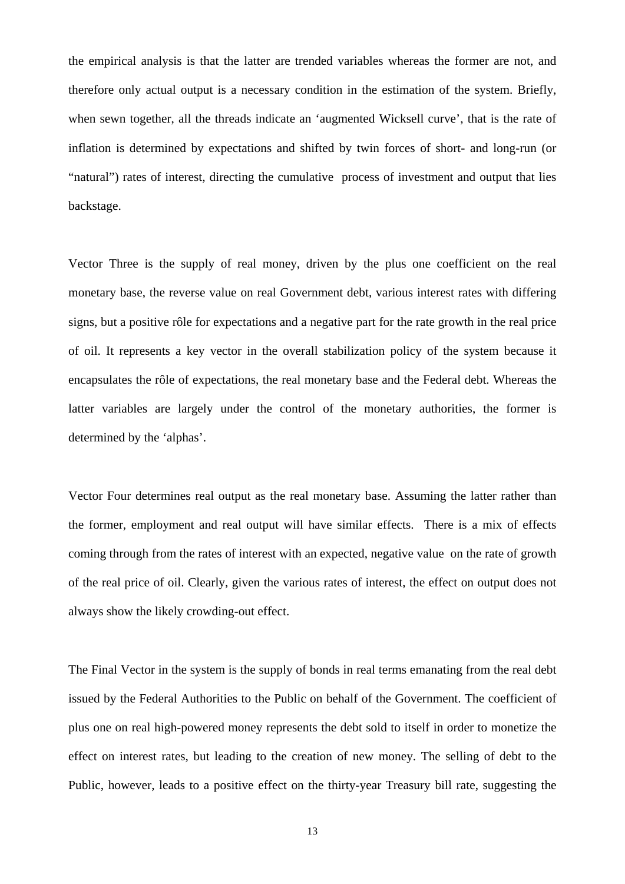the empirical analysis is that the latter are trended variables whereas the former are not, and therefore only actual output is a necessary condition in the estimation of the system. Briefly, when sewn together, all the threads indicate an 'augmented Wicksell curve', that is the rate of inflation is determined by expectations and shifted by twin forces of short- and long-run (or "natural") rates of interest, directing the cumulative process of investment and output that lies backstage.

Vector Three is the supply of real money, driven by the plus one coefficient on the real monetary base, the reverse value on real Government debt, various interest rates with differing signs, but a positive rôle for expectations and a negative part for the rate growth in the real price of oil. It represents a key vector in the overall stabilization policy of the system because it encapsulates the rôle of expectations, the real monetary base and the Federal debt. Whereas the latter variables are largely under the control of the monetary authorities, the former is determined by the 'alphas'.

Vector Four determines real output as the real monetary base. Assuming the latter rather than the former, employment and real output will have similar effects. There is a mix of effects coming through from the rates of interest with an expected, negative value on the rate of growth of the real price of oil. Clearly, given the various rates of interest, the effect on output does not always show the likely crowding-out effect.

The Final Vector in the system is the supply of bonds in real terms emanating from the real debt issued by the Federal Authorities to the Public on behalf of the Government. The coefficient of plus one on real high-powered money represents the debt sold to itself in order to monetize the effect on interest rates, but leading to the creation of new money. The selling of debt to the Public, however, leads to a positive effect on the thirty-year Treasury bill rate, suggesting the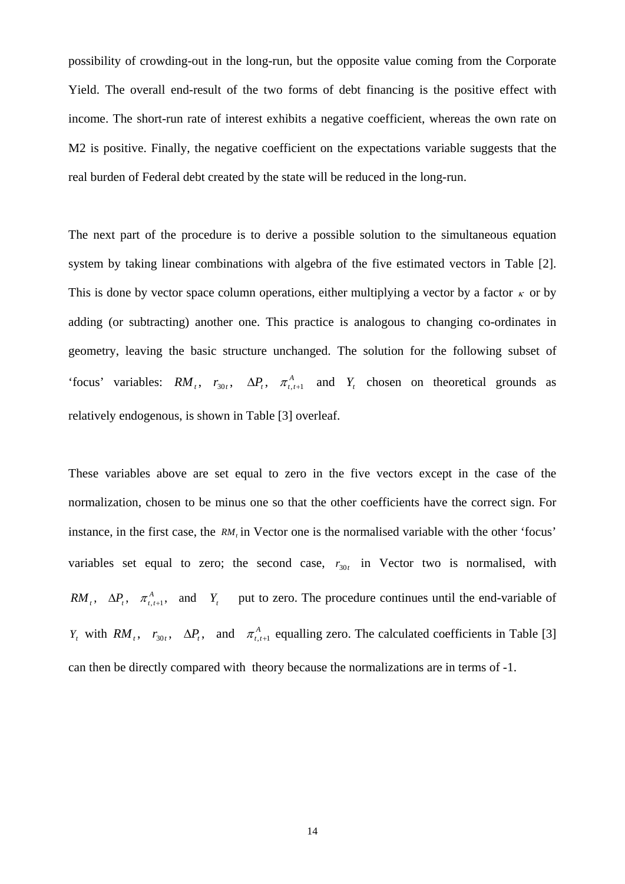possibility of crowding-out in the long-run, but the opposite value coming from the Corporate Yield. The overall end-result of the two forms of debt financing is the positive effect with income. The short-run rate of interest exhibits a negative coefficient, whereas the own rate on M2 is positive. Finally, the negative coefficient on the expectations variable suggests that the real burden of Federal debt created by the state will be reduced in the long-run.

The next part of the procedure is to derive a possible solution to the simultaneous equation system by taking linear combinations with algebra of the five estimated vectors in Table [2]. This is done by vector space column operations, either multiplying a vector by a factor  $\kappa$  or by adding (or subtracting) another one. This practice is analogous to changing co-ordinates in geometry, leaving the basic structure unchanged. The solution for the following subset of 'focus' variables:  $RM_t$ ,  $r_{30t}$ ,  $\Delta P_t$ ,  $\pi^A_{t,t+1}$  and  $Y_t$  chosen on theoretical grounds as relatively endogenous, is shown in Table [3] overleaf.

These variables above are set equal to zero in the five vectors except in the case of the normalization, chosen to be minus one so that the other coefficients have the correct sign. For instance, in the first case, the *RM<sub>t</sub>* in Vector one is the normalised variable with the other 'focus' variables set equal to zero; the second case,  $r_{30t}$  in Vector two is normalised, with  $RM_t$ ,  $\Delta P_t$ ,  $\pi^A_{t,t+1}$ , and  $Y_t$  put to zero. The procedure continues until the end-variable of *Y<sub>t</sub>* with  $RM$ <sub>*t*</sub>,  $r_{30t}$ ,  $\Delta P$ <sub>*t*</sub>, and  $\pi^A$ <sub>*t*,*t*+1</sub> equalling zero. The calculated coefficients in Table [3] can then be directly compared with theory because the normalizations are in terms of -1.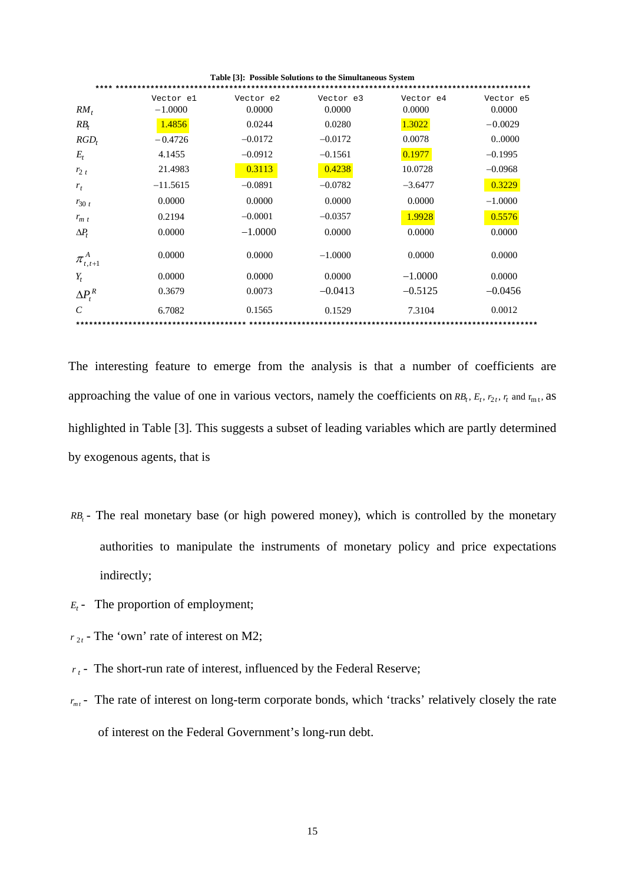| Table [3]: Possible Solutions to the Simultaneous System |            |           |           |           |           |  |  |  |  |
|----------------------------------------------------------|------------|-----------|-----------|-----------|-----------|--|--|--|--|
|                                                          | Vector el  | Vector e2 | Vector e3 | Vector e4 | Vector e5 |  |  |  |  |
| $RM_t$                                                   | $-1.0000$  | 0.0000    | 0.0000    | 0.0000    | 0.0000    |  |  |  |  |
| $RB_t$                                                   | 1.4856     | 0.0244    | 0.0280    | 1.3022    | $-0.0029$ |  |  |  |  |
| $RGD_t$                                                  | $-0.4726$  | $-0.0172$ | $-0.0172$ | 0.0078    | 00000     |  |  |  |  |
| $E_{t}$                                                  | 4.1455     | $-0.0912$ | $-0.1561$ | 0.1977    | $-0.1995$ |  |  |  |  |
| $r_{2t}$                                                 | 21.4983    | 0.3113    | 0.4238    | 10.0728   | $-0.0968$ |  |  |  |  |
| $r_t$                                                    | $-11.5615$ | $-0.0891$ | $-0.0782$ | $-3.6477$ | 0.3229    |  |  |  |  |
| $r_{30t}$                                                | 0.0000     | 0.0000    | 0.0000    | 0.0000    | $-1.0000$ |  |  |  |  |
| $r_{m}$                                                  | 0.2194     | $-0.0001$ | $-0.0357$ | 1.9928    | 0.5576    |  |  |  |  |
| $\Delta P_t$                                             | 0.0000     | $-1.0000$ | 0.0000    | 0.0000    | 0.0000    |  |  |  |  |
| $\pi_{\scriptscriptstyle t,t+1}$                         | 0.0000     | 0.0000    | $-1.0000$ | 0.0000    | 0.0000    |  |  |  |  |
| $Y_t$                                                    | 0.0000     | 0.0000    | 0.0000    | $-1.0000$ | 0.0000    |  |  |  |  |
| $\Delta P_t^R$                                           | 0.3679     | 0.0073    | $-0.0413$ | $-0.5125$ | $-0.0456$ |  |  |  |  |
| C                                                        | 6.7082     | 0.1565    | 0.1529    | 7.3104    | 0.0012    |  |  |  |  |
|                                                          |            |           |           |           |           |  |  |  |  |

The interesting feature to emerge from the analysis is that a number of coefficients are approaching the value of one in various vectors, namely the coefficients on  $RB_t$ ,  $E_t$ ,  $r_{2t}$ ,  $r_t$  and  $r_{m_t}$ , as highlighted in Table [3]. This suggests a subset of leading variables which are partly determined by exogenous agents, that is

- *RB<sub>t</sub>* The real monetary base (or high powered money), which is controlled by the monetary authorities to manipulate the instruments of monetary policy and price expectations indirectly;
- $E_t$  The proportion of employment;
- $r_{2t}$  The 'own' rate of interest on M2;
- $r_t$  The short-run rate of interest, influenced by the Federal Reserve;
- $r_{m t}$  The rate of interest on long-term corporate bonds, which 'tracks' relatively closely the rate of interest on the Federal Government's long-run debt.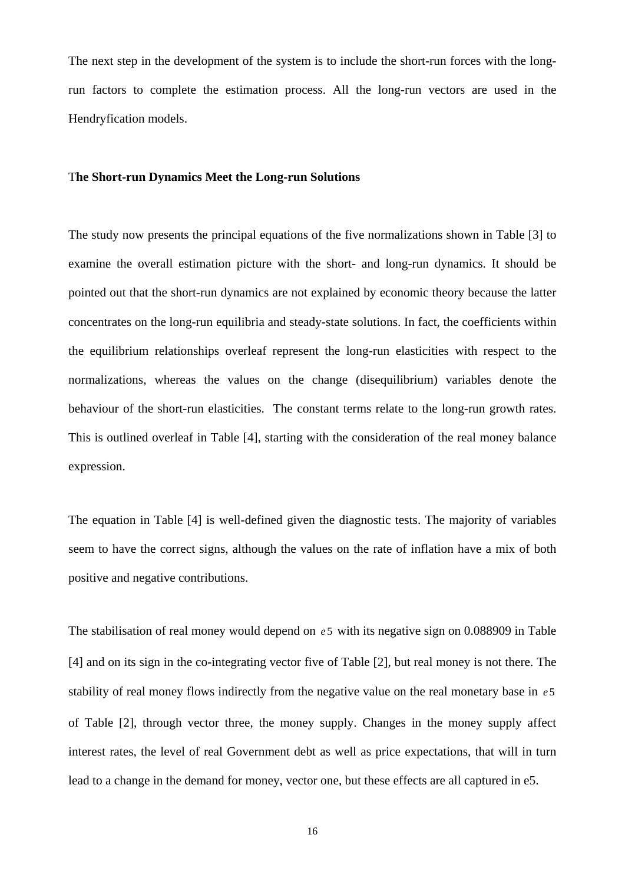The next step in the development of the system is to include the short-run forces with the longrun factors to complete the estimation process. All the long-run vectors are used in the Hendryfication models.

#### T**he Short-run Dynamics Meet the Long-run Solutions**

The study now presents the principal equations of the five normalizations shown in Table [3] to examine the overall estimation picture with the short- and long-run dynamics. It should be pointed out that the short-run dynamics are not explained by economic theory because the latter concentrates on the long-run equilibria and steady-state solutions. In fact, the coefficients within the equilibrium relationships overleaf represent the long-run elasticities with respect to the normalizations, whereas the values on the change (disequilibrium) variables denote the behaviour of the short-run elasticities. The constant terms relate to the long-run growth rates. This is outlined overleaf in Table [4], starting with the consideration of the real money balance expression.

The equation in Table [4] is well-defined given the diagnostic tests. The majority of variables seem to have the correct signs, although the values on the rate of inflation have a mix of both positive and negative contributions.

The stabilisation of real money would depend on  $e5$  with its negative sign on 0.088909 in Table [4] and on its sign in the co-integrating vector five of Table [2], but real money is not there. The stability of real money flows indirectly from the negative value on the real monetary base in *e* 5 of Table [2], through vector three, the money supply. Changes in the money supply affect interest rates, the level of real Government debt as well as price expectations, that will in turn lead to a change in the demand for money, vector one, but these effects are all captured in e5.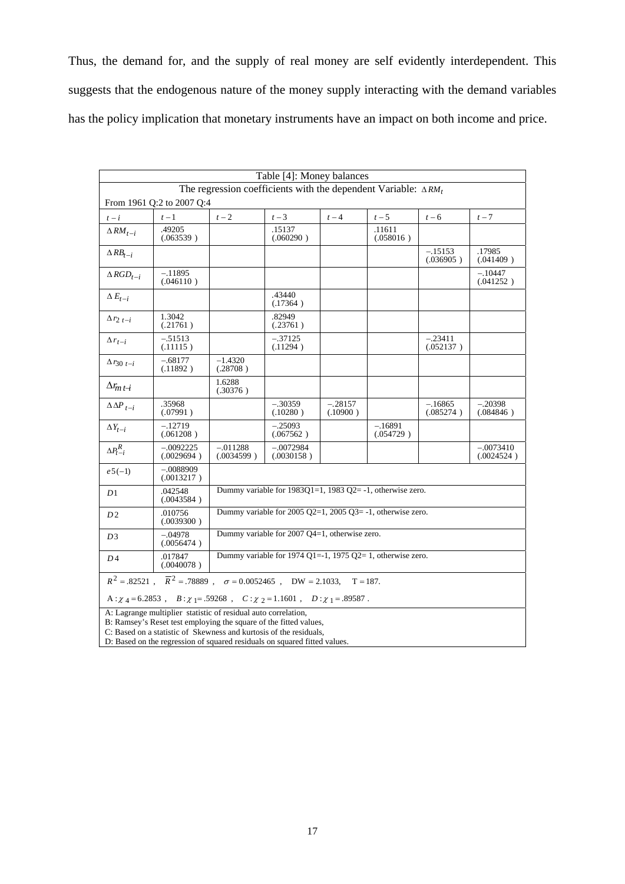Thus, the demand for, and the supply of real money are self evidently interdependent. This suggests that the endogenous nature of the money supply interacting with the demand variables has the policy implication that monetary instruments have an impact on both income and price.

|                                                                           | Table [4]: Money balances                                                                                                           |                                                                                  |                                                                |                       |                        |                        |                           |  |  |
|---------------------------------------------------------------------------|-------------------------------------------------------------------------------------------------------------------------------------|----------------------------------------------------------------------------------|----------------------------------------------------------------|-----------------------|------------------------|------------------------|---------------------------|--|--|
| The regression coefficients with the dependent Variable: $\triangle RM_t$ |                                                                                                                                     |                                                                                  |                                                                |                       |                        |                        |                           |  |  |
| From 1961 Q:2 to 2007 Q:4                                                 |                                                                                                                                     |                                                                                  |                                                                |                       |                        |                        |                           |  |  |
| $t - i$                                                                   | $t-1$                                                                                                                               | $t-2$                                                                            | $t-3$                                                          | $t-4$                 | $t-5$                  | $t-6$                  | $t-7$                     |  |  |
| $\triangle RM_{t-i}$                                                      | .49205<br>(.063539)                                                                                                                 |                                                                                  | .15137<br>(.060290)                                            |                       | .11611<br>(.058016)    |                        |                           |  |  |
| $\triangle RB_{t-i}$                                                      |                                                                                                                                     |                                                                                  |                                                                |                       |                        | $-.15153$<br>(.036905) | .17985<br>(.041409)       |  |  |
| $\triangle RGD_{t-i}$                                                     | $-.11895$<br>(.046110)                                                                                                              |                                                                                  |                                                                |                       |                        |                        | $-.10447$<br>(.041252)    |  |  |
| $\Delta E_{t-i}$                                                          |                                                                                                                                     |                                                                                  | .43440<br>(.17364)                                             |                       |                        |                        |                           |  |  |
| $\Delta r_{2t-i}$                                                         | 1.3042<br>(.21761)                                                                                                                  |                                                                                  | .82949<br>(.23761)                                             |                       |                        |                        |                           |  |  |
| $\Delta r_{t-i}$                                                          | $-.51513$<br>(.11115)                                                                                                               |                                                                                  | $-.37125$<br>$-.23411$<br>(.11294)<br>(.052137)                |                       |                        |                        |                           |  |  |
| $\Delta r_{30 t-i}$                                                       | $-.68177$<br>(.11892)                                                                                                               | $-1.4320$<br>(.28708)                                                            |                                                                |                       |                        |                        |                           |  |  |
| $\Delta r_{m t-i}$                                                        |                                                                                                                                     | 1.6288<br>(.30376)                                                               |                                                                |                       |                        |                        |                           |  |  |
| $\Delta\Delta P_{t-i}$                                                    | .35968<br>(.07991)                                                                                                                  |                                                                                  | $-.30359$<br>(.10280)                                          | $-.28157$<br>(.10900) |                        | $-.16865$<br>(.085274) | $-.20398$<br>(.084846)    |  |  |
| $\Delta Y_{t-i}$                                                          | $-.12719$<br>(.061208)                                                                                                              |                                                                                  | $-.25093$<br>(.067562)                                         |                       | $-.16891$<br>(.054729) |                        |                           |  |  |
| $\Delta P_{t-i}^R$                                                        | $-.0092225$<br>(.0029694)                                                                                                           | $-.011288$<br>(.0034599)                                                         | $-.0072984$<br>(.0030158)                                      |                       |                        |                        | $-.0073410$<br>(.0024524) |  |  |
| $e5(-1)$                                                                  | $-.0088909$<br>(.0013217)                                                                                                           |                                                                                  |                                                                |                       |                        |                        |                           |  |  |
| D1                                                                        | .042548<br>(.0043584)                                                                                                               |                                                                                  | Dummy variable for $1983Q1=1$ , $1983Q2= -1$ , otherwise zero. |                       |                        |                        |                           |  |  |
| D <sub>2</sub>                                                            | .010756<br>(.0039300)                                                                                                               | Dummy variable for $2005 \text{ O}2=1$ , $2005 \text{ O}3= -1$ , otherwise zero. |                                                                |                       |                        |                        |                           |  |  |
| D3                                                                        | $-.04978$<br>(.0056474)                                                                                                             |                                                                                  | Dummy variable for 2007 Q4=1, otherwise zero.                  |                       |                        |                        |                           |  |  |
| D <sub>4</sub>                                                            | .017847<br>(.0040078)                                                                                                               |                                                                                  | Dummy variable for 1974 Q1=-1, 1975 Q2= 1, otherwise zero.     |                       |                        |                        |                           |  |  |
|                                                                           | $R^2=.82521\ ,\quad \overline{R}^2=.78889\ ,\quad \sigma=0.0052465\ ,\quad \text{DW}=2.1033,\quad \text{T}=187.$                    |                                                                                  |                                                                |                       |                        |                        |                           |  |  |
|                                                                           | A: $\chi$ <sub>4</sub> = 6.2853, B: $\chi$ <sub>1</sub> = .59268, C: $\chi$ <sub>2</sub> = 1.1601, D: $\chi$ <sub>1</sub> = .89587. |                                                                                  |                                                                |                       |                        |                        |                           |  |  |
|                                                                           | A: Lagrange multiplier statistic of residual auto correlation,<br>B: Ramsey's Reset test employing the square of the fitted values, |                                                                                  |                                                                |                       |                        |                        |                           |  |  |

C: Based on a statistic of Skewness and kurtosis of the residuals,

D: Based on the regression of squared residuals on squared fitted values.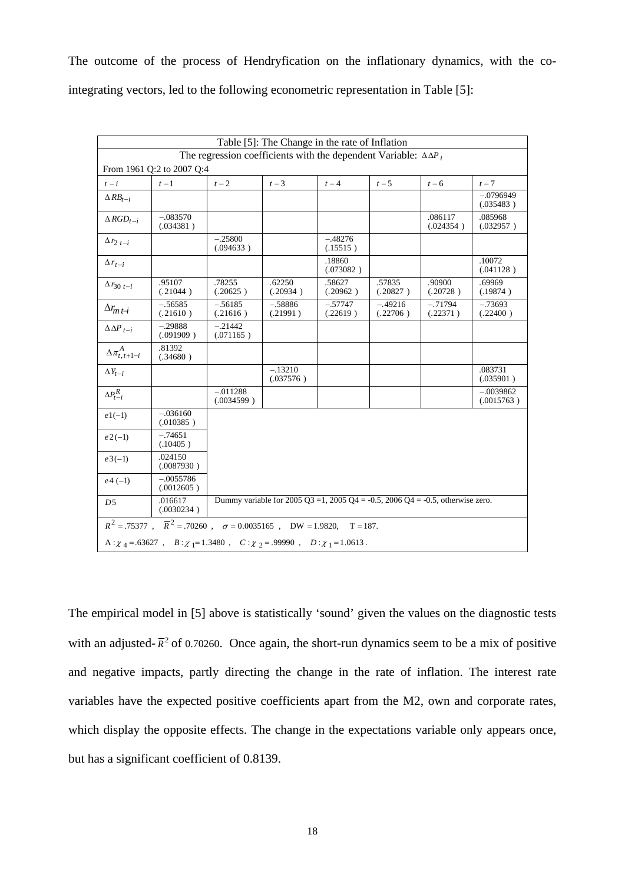The outcome of the process of Hendryfication on the inflationary dynamics, with the cointegrating vectors, led to the following econometric representation in Table [5]:

| Table [5]: The Change in the rate of Inflation                                        |                                                                                                         |                          |                        |                       |                       |                       |                           |  |
|---------------------------------------------------------------------------------------|---------------------------------------------------------------------------------------------------------|--------------------------|------------------------|-----------------------|-----------------------|-----------------------|---------------------------|--|
|                                                                                       | The regression coefficients with the dependent Variable: $\Delta \Delta P_t$                            |                          |                        |                       |                       |                       |                           |  |
|                                                                                       | From 1961 Q:2 to 2007 Q:4                                                                               |                          |                        |                       |                       |                       |                           |  |
| $t - i$                                                                               | $t-1$                                                                                                   | $t-2$                    | $t-3$                  | $t-4$                 | $t-5$                 | $t-6$                 | $t-7$                     |  |
| $\triangle RB_{t-i}$                                                                  |                                                                                                         |                          |                        |                       |                       |                       | $-.0796949$<br>(.035483)  |  |
| $\triangle RGD_{t-i}$                                                                 | $-.083570$<br>(.034381)                                                                                 |                          |                        |                       |                       | .086117<br>(.024354)  | .085968<br>(.032957)      |  |
| $\Delta r_{2t-i}$                                                                     |                                                                                                         | $-.25800$<br>(.094633)   |                        | $-.48276$<br>(.15515) |                       |                       |                           |  |
| $\Delta r_{t-i}$                                                                      |                                                                                                         |                          |                        | .18860<br>(.073082)   |                       |                       | .10072<br>(.041128)       |  |
| $\Delta r_{30 t-i}$                                                                   | .95107<br>(.21044)                                                                                      | .78255<br>(.20625)       | .62250<br>(.20934)     | .58627<br>(.20962)    | .57835<br>(.20827)    | .90900<br>(.20728)    | .69969<br>(.19874)        |  |
| $\Delta r_{m t-i}$                                                                    | $-.56585$<br>(.21610)                                                                                   | $-.56185$<br>(.21616)    | $-.58886$<br>(.21991)  | $-.57747$<br>(.22619) | $-.49216$<br>(.22706) | $-.71794$<br>(.22371) | $-.73693$<br>(.22400)     |  |
| $\Delta \Delta P_{t-i}$                                                               | $-.29888$<br>(.091909)                                                                                  | $-.21442$<br>(.071165)   |                        |                       |                       |                       |                           |  |
| $\Delta \pi^A_{t,t+1-i}$                                                              | .81392<br>(.34680)                                                                                      |                          |                        |                       |                       |                       |                           |  |
| $\Delta Y_{t-i}$                                                                      |                                                                                                         |                          | $-.13210$<br>(.037576) |                       |                       |                       | .083731<br>(.035901)      |  |
| $\Delta P_{t-i}^R$                                                                    |                                                                                                         | $-.011288$<br>(.0034599) |                        |                       |                       |                       | $-.0039862$<br>(.0015763) |  |
| $e1(-1)$                                                                              | $-.036160$<br>(.010385)                                                                                 |                          |                        |                       |                       |                       |                           |  |
| $e2(-1)$                                                                              | $-.74651$<br>(.10405)                                                                                   |                          |                        |                       |                       |                       |                           |  |
| $e3(-1)$                                                                              | .024150<br>(.0087930)                                                                                   |                          |                        |                       |                       |                       |                           |  |
| $e4(-1)$                                                                              | $-.0055786$<br>(.0012605)                                                                               |                          |                        |                       |                       |                       |                           |  |
| D5                                                                                    | Dummy variable for 2005 Q3 =1, 2005 Q4 = -0.5, 2006 Q4 = -0.5, otherwise zero.<br>.016617<br>(.0030234) |                          |                        |                       |                       |                       |                           |  |
|                                                                                       | $R^2 = .75377$ , $\overline{R}^2 = .70260$ , $\sigma = 0.0035165$ , DW = 1.9820,                        |                          |                        | $T = 187.$            |                       |                       |                           |  |
| A: $\chi$ 4 = .63627, B: $\chi$ 1=1.3480, C: $\chi$ 2 = .99990, D: $\chi$ 1 = 1.0613. |                                                                                                         |                          |                        |                       |                       |                       |                           |  |

The empirical model in [5] above is statistically 'sound' given the values on the diagnostic tests with an adjusted- $\bar{R}^2$  of 0.70260. Once again, the short-run dynamics seem to be a mix of positive and negative impacts, partly directing the change in the rate of inflation. The interest rate variables have the expected positive coefficients apart from the M2, own and corporate rates, which display the opposite effects. The change in the expectations variable only appears once, but has a significant coefficient of 0.8139.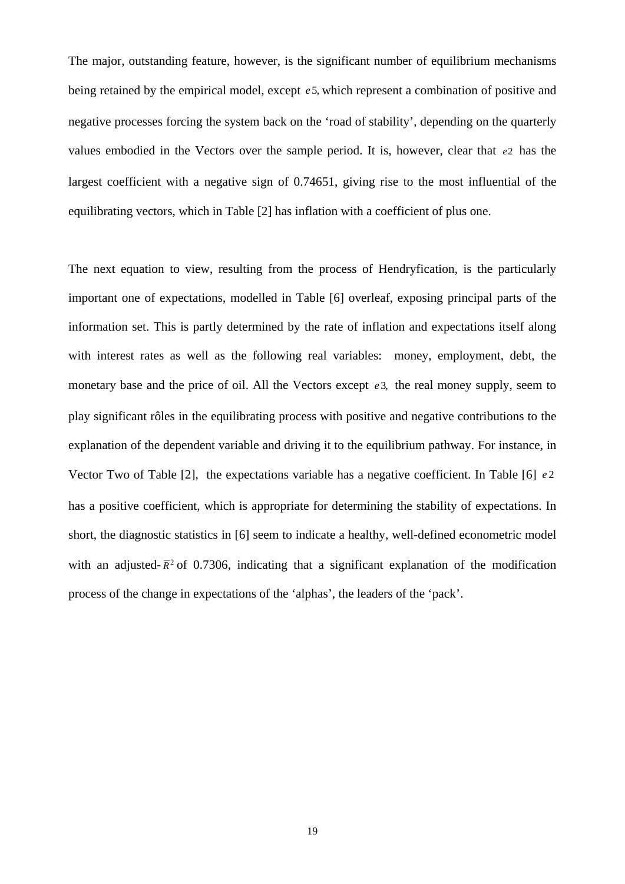The major, outstanding feature, however, is the significant number of equilibrium mechanisms being retained by the empirical model, except  $e^2$ , which represent a combination of positive and negative processes forcing the system back on the 'road of stability', depending on the quarterly values embodied in the Vectors over the sample period. It is, however, clear that *e*2 has the largest coefficient with a negative sign of 0.74651, giving rise to the most influential of the equilibrating vectors, which in Table [2] has inflation with a coefficient of plus one.

The next equation to view, resulting from the process of Hendryfication, is the particularly important one of expectations, modelled in Table [6] overleaf, exposing principal parts of the information set. This is partly determined by the rate of inflation and expectations itself along with interest rates as well as the following real variables: money, employment, debt, the monetary base and the price of oil. All the Vectors except *e* 3, the real money supply, seem to play significant rôles in the equilibrating process with positive and negative contributions to the explanation of the dependent variable and driving it to the equilibrium pathway. For instance, in Vector Two of Table [2], the expectations variable has a negative coefficient. In Table [6] *e* 2 has a positive coefficient, which is appropriate for determining the stability of expectations. In short, the diagnostic statistics in [6] seem to indicate a healthy, well-defined econometric model with an adjusted- $\bar{R}^2$  of 0.7306, indicating that a significant explanation of the modification process of the change in expectations of the 'alphas', the leaders of the 'pack'.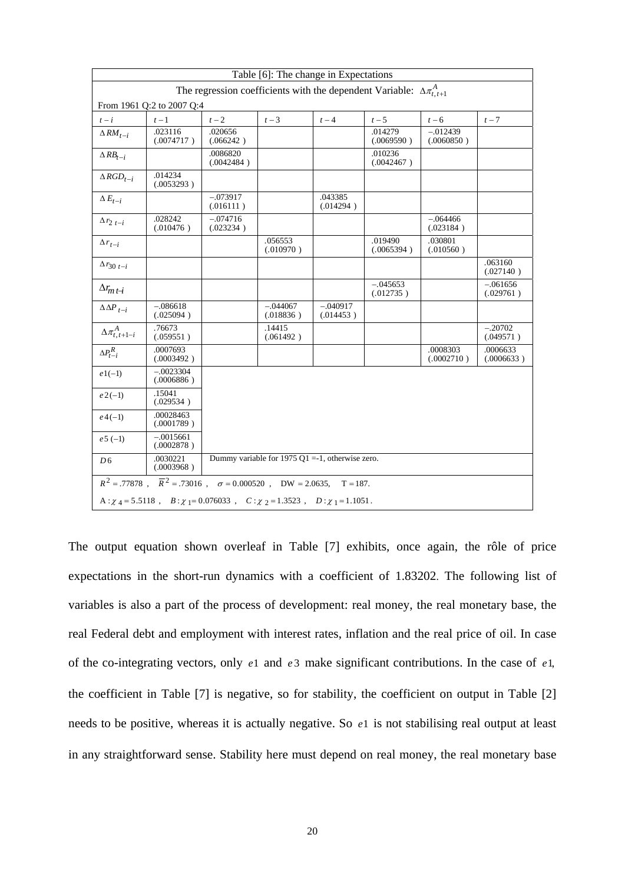| Table [6]: The change in Expectations                                           |                                                                                               |                         |                                                 |                         |                         |                          |                         |  |
|---------------------------------------------------------------------------------|-----------------------------------------------------------------------------------------------|-------------------------|-------------------------------------------------|-------------------------|-------------------------|--------------------------|-------------------------|--|
| The regression coefficients with the dependent Variable: $\Delta \pi_{t,t+1}^A$ |                                                                                               |                         |                                                 |                         |                         |                          |                         |  |
| From 1961 Q:2 to 2007 Q:4                                                       |                                                                                               |                         |                                                 |                         |                         |                          |                         |  |
| $t - i$                                                                         | $t-1$                                                                                         | $t-2$                   | $t-3$                                           | $t-4$                   | $t-5$                   | $t-6$                    | $t-7$                   |  |
| $\triangle RM_{t-i}$                                                            | .023116<br>(.0074717)                                                                         | .020656<br>(.066242)    |                                                 |                         | .014279<br>(.0069590)   | $-.012439$<br>(.0060850) |                         |  |
| $\triangle RB_{t-i}$                                                            |                                                                                               | .0086820<br>(.0042484)  |                                                 |                         | .010236<br>(.0042467)   |                          |                         |  |
| $\triangle RGD_{t-i}$                                                           | .014234<br>(.0053293)                                                                         |                         |                                                 |                         |                         |                          |                         |  |
| $\Delta E_{t-i}$                                                                |                                                                                               | $-.073917$<br>(.016111) |                                                 | .043385<br>(.014294)    |                         |                          |                         |  |
| $\Delta r_{2\ t-i}$                                                             | .028242<br>(.010476)                                                                          | $-.074716$<br>(.023234) |                                                 |                         |                         | $-.064466$<br>(.023184)  |                         |  |
| $\Delta r_{t-i}$                                                                |                                                                                               |                         | .056553<br>(.010970)                            |                         | .019490<br>(.0065394)   | .030801<br>(.010560)     |                         |  |
| $\Delta r_{30 t-i}$                                                             |                                                                                               |                         |                                                 |                         |                         |                          | .063160<br>(.027140)    |  |
| $\Delta r_{m t-i}$                                                              |                                                                                               |                         |                                                 |                         | $-.045653$<br>(.012735) |                          | $-.061656$<br>(.029761) |  |
| $\Delta\Delta P_{t-i}$                                                          | $-.086618$<br>(.025094)                                                                       |                         | $-.044067$<br>(.018836)                         | $-.040917$<br>(.014453) |                         |                          |                         |  |
| $\Delta \pi^A_{t,t+1-i}$                                                        | .76673<br>(.059551)                                                                           |                         | .14415<br>(.061492)                             |                         |                         |                          | $-.20702$<br>(.049571)  |  |
| $\Delta P_{t-i}^R$                                                              | .0007693<br>(.0003492)                                                                        |                         |                                                 |                         |                         | .0008303<br>(.0002710)   | .0006633<br>(.0006633)  |  |
| $e1(-1)$                                                                        | $-.0023304$<br>(.0006886)                                                                     |                         |                                                 |                         |                         |                          |                         |  |
| $e2(-1)$                                                                        | .15041<br>(.029534)                                                                           |                         |                                                 |                         |                         |                          |                         |  |
| $e^{4(-1)}$                                                                     | .00028463<br>(.0001789)                                                                       |                         |                                                 |                         |                         |                          |                         |  |
| $e5(-1)$                                                                        | $-.0015661$<br>(.0002878)                                                                     |                         |                                                 |                         |                         |                          |                         |  |
| D <sub>6</sub>                                                                  | .0030221<br>(.0003968)                                                                        |                         | Dummy variable for 1975 Q1 =-1, otherwise zero. |                         |                         |                          |                         |  |
|                                                                                 | $R^2 = .77878$ , $\overline{R}^2 = .73016$ , $\sigma = 0.000520$ , DW = 2.0635,               |                         |                                                 | $T = 187.$              |                         |                          |                         |  |
|                                                                                 | A: $\chi_4 = 5.5118$ , $B: \chi_1 = 0.076033$ , $C: \chi_2 = 1.3523$ , $D: \chi_1 = 1.1051$ . |                         |                                                 |                         |                         |                          |                         |  |

The output equation shown overleaf in Table [7] exhibits, once again, the rôle of price expectations in the short-run dynamics with a coefficient of 1.83202. The following list of variables is also a part of the process of development: real money, the real monetary base, the real Federal debt and employment with interest rates, inflation and the real price of oil. In case of the co-integrating vectors, only *e*1 and *e* 3 make significant contributions. In the case of *e*1, the coefficient in Table [7] is negative, so for stability, the coefficient on output in Table [2] needs to be positive, whereas it is actually negative. So *e*1 is not stabilising real output at least in any straightforward sense. Stability here must depend on real money, the real monetary base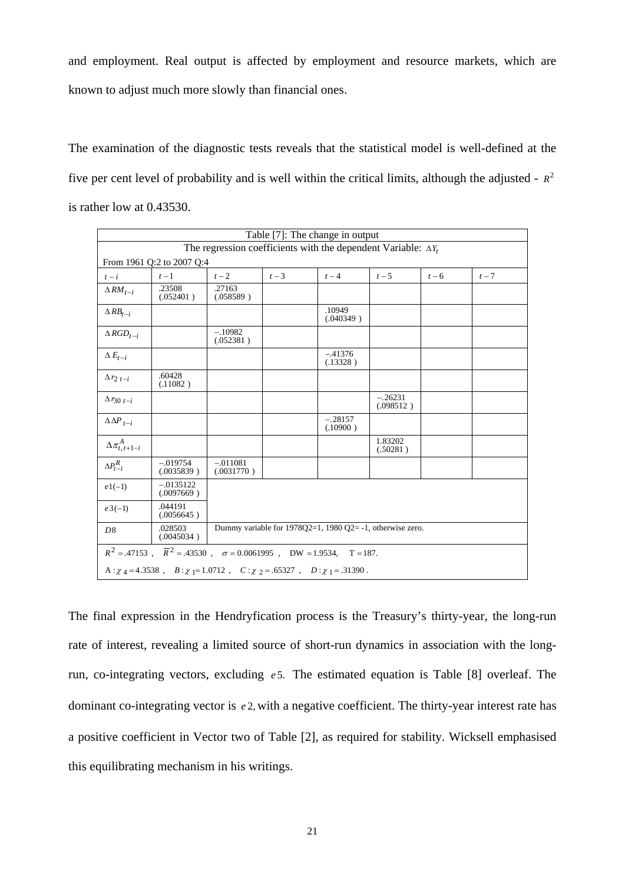and employment. Real output is affected by employment and resource markets, which are known to adjust much more slowly than financial ones.

The examination of the diagnostic tests reveals that the statistical model is well-defined at the five per cent level of probability and is well within the critical limits, although the adjusted -  $R^2$ is rather low at 0.43530.

| Table [7]: The change in output                                       |                                                                                           |                          |                                                              |                       |                        |       |       |  |  |
|-----------------------------------------------------------------------|-------------------------------------------------------------------------------------------|--------------------------|--------------------------------------------------------------|-----------------------|------------------------|-------|-------|--|--|
| The regression coefficients with the dependent Variable: $\Delta Y_t$ |                                                                                           |                          |                                                              |                       |                        |       |       |  |  |
| From 1961 Q:2 to 2007 Q:4                                             |                                                                                           |                          |                                                              |                       |                        |       |       |  |  |
| $t - i$                                                               | $t-1$                                                                                     | $t-2$                    | $t-3$                                                        | $t-4$                 | $t-5$                  | $t-6$ | $t-7$ |  |  |
| $\Delta RM_{t-i}$                                                     | .23508<br>(.052401)                                                                       | .27163<br>(.058589)      |                                                              |                       |                        |       |       |  |  |
| $\triangle RB_{t-i}$                                                  |                                                                                           |                          |                                                              | .10949<br>(.040349)   |                        |       |       |  |  |
| $\triangle RGD_{t-i}$                                                 |                                                                                           | $-.10982$<br>(.052381)   |                                                              |                       |                        |       |       |  |  |
| $\Delta E_{t-i}$                                                      |                                                                                           |                          |                                                              | $-.41376$<br>(.13328) |                        |       |       |  |  |
| $\Delta r_{2t-i}$                                                     | .60428<br>(.11082)                                                                        |                          |                                                              |                       |                        |       |       |  |  |
| $\Delta r_{30 t-i}$                                                   |                                                                                           |                          |                                                              |                       | $-.26231$<br>(.098512) |       |       |  |  |
| $\Delta\Delta P_{t-i}$                                                |                                                                                           |                          |                                                              | $-.28157$<br>(.10900) |                        |       |       |  |  |
| $\Delta\pi^A_{t,t+1-i}$                                               |                                                                                           |                          |                                                              |                       | 1.83202<br>(.50281)    |       |       |  |  |
| $\Delta P_{t-i}^R$                                                    | $-.019754$<br>(.0035839)                                                                  | $-.011081$<br>(.0031770) |                                                              |                       |                        |       |       |  |  |
| $e1(-1)$                                                              | $-.0135122$<br>(.0097669)                                                                 |                          |                                                              |                       |                        |       |       |  |  |
| $e3(-1)$                                                              | .044191<br>(.0056645)                                                                     |                          |                                                              |                       |                        |       |       |  |  |
| D <sup>8</sup>                                                        | .028503<br>(.0045034)                                                                     |                          | Dummy variable for $1978Q2=1$ , $1980Q2=1$ , otherwise zero. |                       |                        |       |       |  |  |
|                                                                       | $R^2 = .47153$ , $\overline{R}^2 = .43530$ , $\sigma = 0.0061995$ , DW = 1.9534, T = 187. |                          |                                                              |                       |                        |       |       |  |  |
|                                                                       | A: $\chi$ 4 = 4.3538, B: $\chi$ 1 = 1.0712, C: $\chi$ 2 = .65327, D: $\chi$ 1 = .31390.   |                          |                                                              |                       |                        |       |       |  |  |

The final expression in the Hendryfication process is the Treasury's thirty-year, the long-run rate of interest, revealing a limited source of short-run dynamics in association with the longrun, co-integrating vectors, excluding *e* 5. The estimated equation is Table [8] overleaf. The dominant co-integrating vector is *e* 2, with a negative coefficient. The thirty-year interest rate has a positive coefficient in Vector two of Table [2], as required for stability. Wicksell emphasised this equilibrating mechanism in his writings.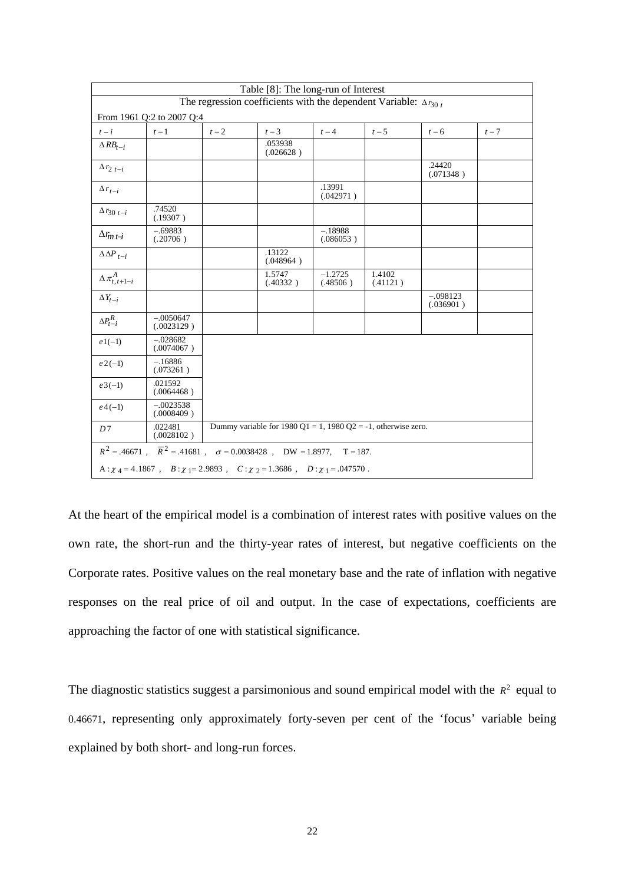| Table [8]: The long-run of Interest                                                                                                  |                                                                                                                     |       |                                                               |                        |                    |                         |       |  |
|--------------------------------------------------------------------------------------------------------------------------------------|---------------------------------------------------------------------------------------------------------------------|-------|---------------------------------------------------------------|------------------------|--------------------|-------------------------|-------|--|
| The regression coefficients with the dependent Variable: $\Delta r_{30t}$                                                            |                                                                                                                     |       |                                                               |                        |                    |                         |       |  |
| From 1961 Q:2 to 2007 Q:4                                                                                                            |                                                                                                                     |       |                                                               |                        |                    |                         |       |  |
| $t - i$                                                                                                                              | $t-1$                                                                                                               | $t-2$ | $t-3$                                                         | $t-4$                  | $t-5$              | $t-6$                   | $t-7$ |  |
| $\triangle RB_{t-i}$                                                                                                                 |                                                                                                                     |       | .053938<br>(.026628)                                          |                        |                    |                         |       |  |
| $\Delta r_{2t-i}$                                                                                                                    |                                                                                                                     |       |                                                               |                        |                    | .24420<br>(.071348)     |       |  |
| $\Delta r_{t-i}$                                                                                                                     |                                                                                                                     |       |                                                               | .13991<br>(.042971)    |                    |                         |       |  |
| $\Delta r_{30 t-i}$                                                                                                                  | .74520<br>(.19307)                                                                                                  |       |                                                               |                        |                    |                         |       |  |
| $\Delta r_{m\,t\!-\!i}$                                                                                                              | $-.69883$<br>(.20706)                                                                                               |       |                                                               | $-.18988$<br>(.086053) |                    |                         |       |  |
| $\Delta\Delta P_{t-i}$                                                                                                               |                                                                                                                     |       | .13122<br>(.048964)                                           |                        |                    |                         |       |  |
| $\Delta \pi^A_{t,t+1-i}$                                                                                                             |                                                                                                                     |       | 1.5747<br>(.40332)                                            | $-1.2725$<br>(.48506)  | 1.4102<br>(.41121) |                         |       |  |
| $\Delta Y_{t-i}$                                                                                                                     |                                                                                                                     |       |                                                               |                        |                    | $-.098123$<br>(.036901) |       |  |
| $\Delta P_{t-i}^R$                                                                                                                   | $-.0050647$<br>(.0023129)                                                                                           |       |                                                               |                        |                    |                         |       |  |
| $e1(-1)$                                                                                                                             | $-.028682$<br>(.0074067)                                                                                            |       |                                                               |                        |                    |                         |       |  |
| $e2(-1)$                                                                                                                             | $-.16886$<br>(.073261)                                                                                              |       |                                                               |                        |                    |                         |       |  |
| $e3(-1)$                                                                                                                             | .021592<br>(.0064468)                                                                                               |       |                                                               |                        |                    |                         |       |  |
| $e^{4(-1)}$                                                                                                                          | $-.0023538$<br>(.0008409)                                                                                           |       |                                                               |                        |                    |                         |       |  |
| D7                                                                                                                                   | .022481<br>(.0028102)                                                                                               |       | Dummy variable for 1980 Q1 = 1, 1980 Q2 = -1, otherwise zero. |                        |                    |                         |       |  |
|                                                                                                                                      | $R^2 = .46671 \ , \quad \overline{R}^2 = .41681 \ , \quad \sigma = 0.0038428 \ , \quad DW = 1.8977, \quad T = 187.$ |       |                                                               |                        |                    |                         |       |  |
| A: $\chi$ <sub>4</sub> = 4.1867, B: $\chi$ <sub>1</sub> = 2.9893, C: $\chi$ <sub>2</sub> = 1.3686, D: $\chi$ <sub>1</sub> = .047570. |                                                                                                                     |       |                                                               |                        |                    |                         |       |  |

At the heart of the empirical model is a combination of interest rates with positive values on the own rate, the short-run and the thirty-year rates of interest, but negative coefficients on the Corporate rates. Positive values on the real monetary base and the rate of inflation with negative responses on the real price of oil and output. In the case of expectations, coefficients are approaching the factor of one with statistical significance.

The diagnostic statistics suggest a parsimonious and sound empirical model with the  $R<sup>2</sup>$  equal to 0.46671, representing only approximately forty-seven per cent of the 'focus' variable being explained by both short- and long-run forces.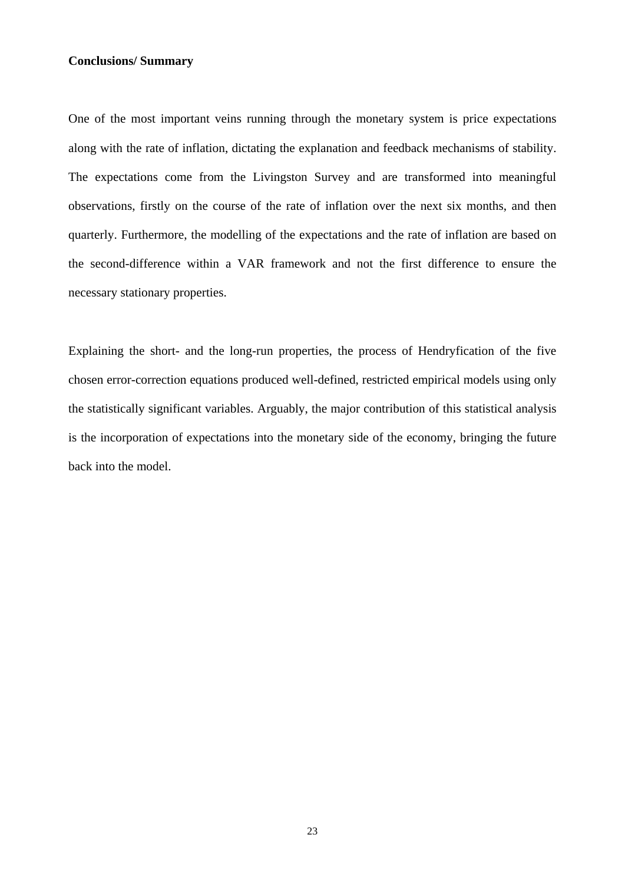### **Conclusions/ Summary**

One of the most important veins running through the monetary system is price expectations along with the rate of inflation, dictating the explanation and feedback mechanisms of stability. The expectations come from the Livingston Survey and are transformed into meaningful observations, firstly on the course of the rate of inflation over the next six months, and then quarterly. Furthermore, the modelling of the expectations and the rate of inflation are based on the second-difference within a VAR framework and not the first difference to ensure the necessary stationary properties.

Explaining the short- and the long-run properties, the process of Hendryfication of the five chosen error-correction equations produced well-defined, restricted empirical models using only the statistically significant variables. Arguably, the major contribution of this statistical analysis is the incorporation of expectations into the monetary side of the economy, bringing the future back into the model.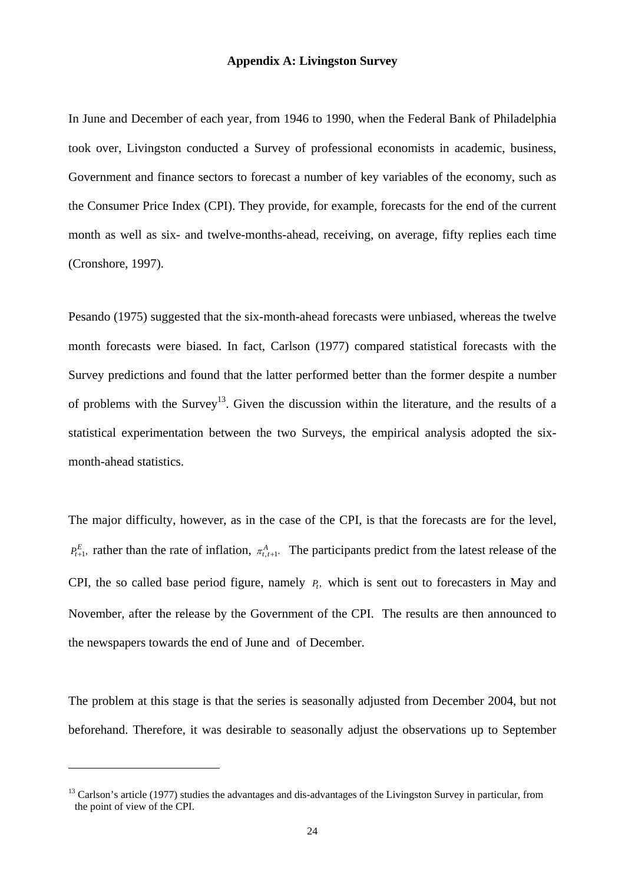#### **Appendix A: Livingston Survey**

In June and December of each year, from 1946 to 1990, when the Federal Bank of Philadelphia took over, Livingston conducted a Survey of professional economists in academic, business, Government and finance sectors to forecast a number of key variables of the economy, such as the Consumer Price Index (CPI). They provide, for example, forecasts for the end of the current month as well as six- and twelve-months-ahead, receiving, on average, fifty replies each time (Cronshore, 1997).

Pesando (1975) suggested that the six-month-ahead forecasts were unbiased, whereas the twelve month forecasts were biased. In fact, Carlson (1977) compared statistical forecasts with the Survey predictions and found that the latter performed better than the former despite a number of problems with the Survey<sup>13</sup>. Given the discussion within the literature, and the results of a statistical experimentation between the two Surveys, the empirical analysis adopted the sixmonth-ahead statistics.

The major difficulty, however, as in the case of the CPI, is that the forecasts are for the level,  $P_{t+1}^E$ , rather than the rate of inflation,  $\pi_{t,t+1}^A$ . The participants predict from the latest release of the CPI, the so called base period figure, namely  $P_t$ , which is sent out to forecasters in May and November, after the release by the Government of the CPI. The results are then announced to the newspapers towards the end of June and of December.

The problem at this stage is that the series is seasonally adjusted from December 2004, but not beforehand. Therefore, it was desirable to seasonally adjust the observations up to September

<u>.</u>

 $13$  Carlson's article (1977) studies the advantages and dis-advantages of the Livingston Survey in particular, from the point of view of the CPI.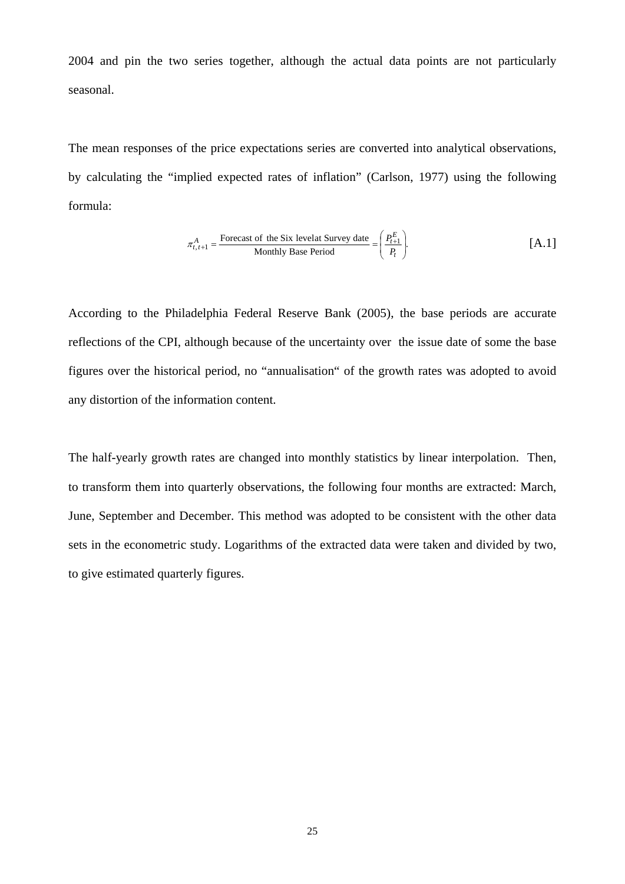2004 and pin the two series together, although the actual data points are not particularly seasonal.

The mean responses of the price expectations series are converted into analytical observations, by calculating the "implied expected rates of inflation" (Carlson, 1977) using the following formula:

$$
\pi_{t,t+1}^{A} = \frac{\text{Forecast of the Six level at Survey date}}{\text{Monthly Base Period}} = \left(\frac{P_{t+1}^{E}}{P_{t}}\right).
$$
 [A.1]

According to the Philadelphia Federal Reserve Bank (2005), the base periods are accurate reflections of the CPI, although because of the uncertainty over the issue date of some the base figures over the historical period, no "annualisation" of the growth rates was adopted to avoid any distortion of the information content.

The half-yearly growth rates are changed into monthly statistics by linear interpolation. Then, to transform them into quarterly observations, the following four months are extracted: March, June, September and December. This method was adopted to be consistent with the other data sets in the econometric study. Logarithms of the extracted data were taken and divided by two, to give estimated quarterly figures.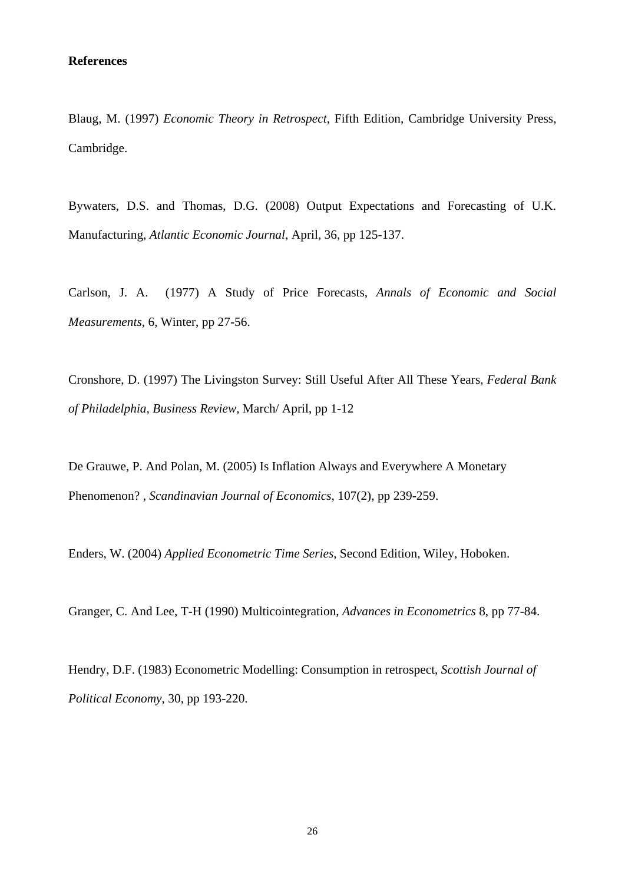#### **References**

Blaug, M. (1997) *Economic Theory in Retrospect*, Fifth Edition, Cambridge University Press, Cambridge.

Bywaters, D.S. and Thomas, D.G. (2008) Output Expectations and Forecasting of U.K. Manufacturing, *Atlantic Economic Journal*, April, 36, pp 125-137.

Carlson, J. A. (1977) A Study of Price Forecasts, *Annals of Economic and Social Measurements*, 6, Winter, pp 27-56.

Cronshore, D. (1997) The Livingston Survey: Still Useful After All These Years, *Federal Bank of Philadelphia, Business Review*, March/ April, pp 1-12

De Grauwe, P. And Polan, M. (2005) Is Inflation Always and Everywhere A Monetary Phenomenon? , *Scandinavian Journal of Economics*, 107(2), pp 239-259.

Enders, W. (2004) *Applied Econometric Time Series*, Second Edition, Wiley, Hoboken.

Granger, C. And Lee, T-H (1990) Multicointegration, *Advances in Econometrics* 8, pp 77-84.

Hendry, D.F. (1983) Econometric Modelling: Consumption in retrospect, *Scottish Journal of Political Economy*, 30, pp 193-220.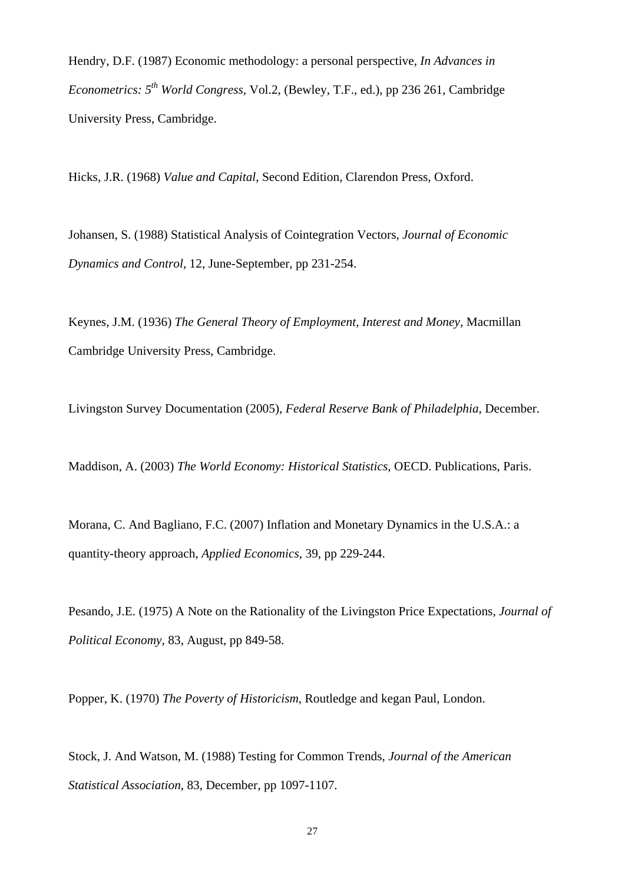Hendry, D.F. (1987) Economic methodology: a personal perspective, *In Advances in Econometrics: 5th World Congress*, Vol.2, (Bewley, T.F., ed.), pp 236 261, Cambridge University Press, Cambridge.

Hicks, J.R. (1968) *Value and Capital*, Second Edition, Clarendon Press, Oxford.

Johansen, S. (1988) Statistical Analysis of Cointegration Vectors, *Journal of Economic Dynamics and Control*, 12, June-September, pp 231-254.

Keynes, J.M. (1936) *The General Theory of Employment, Interest and Money*, Macmillan Cambridge University Press, Cambridge.

Livingston Survey Documentation (2005), *Federal Reserve Bank of Philadelphia*, December.

Maddison, A. (2003) *The World Economy: Historical Statistics*, OECD. Publications, Paris.

Morana, C. And Bagliano, F.C. (2007) Inflation and Monetary Dynamics in the U.S.A.: a quantity-theory approach, *Applied Economics*, 39, pp 229-244.

Pesando, J.E. (1975) A Note on the Rationality of the Livingston Price Expectations, *Journal of Political Economy*, 83, August, pp 849-58.

Popper, K. (1970) *The Poverty of Historicism*, Routledge and kegan Paul, London.

Stock, J. And Watson, M. (1988) Testing for Common Trends, *Journal of the American Statistical Association*, 83, December, pp 1097-1107.